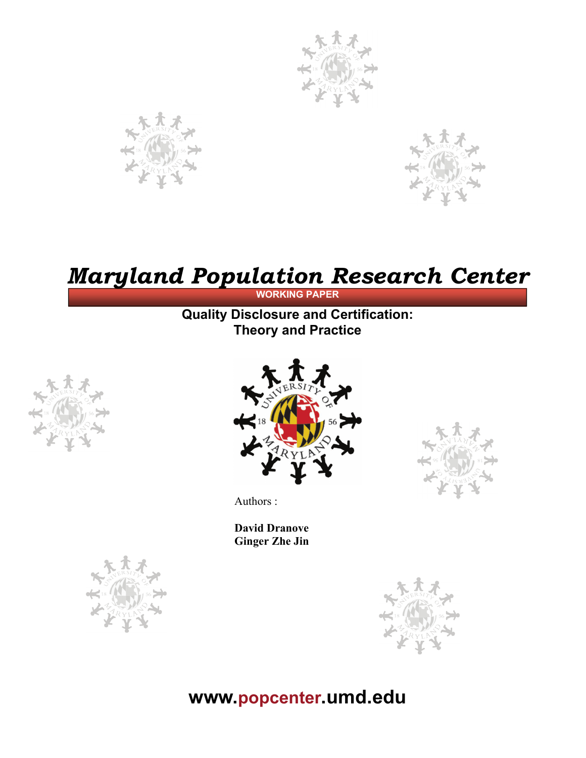





# *Maryland Population Research Center*

#### **WORKING PAPER**

### **Quality Disclosure and Certification: Theory and Practice**





Authors :

**David Dranove Ginger Zhe Jin** 





## **www.popcenter.umd.edu**

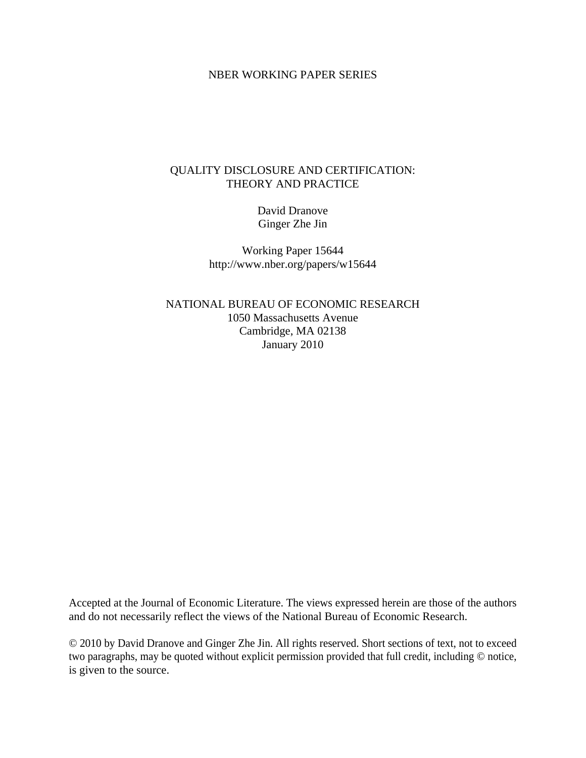#### NBER WORKING PAPER SERIES

#### QUALITY DISCLOSURE AND CERTIFICATION: THEORY AND PRACTICE

David Dranove Ginger Zhe Jin

Working Paper 15644 http://www.nber.org/papers/w15644

NATIONAL BUREAU OF ECONOMIC RESEARCH 1050 Massachusetts Avenue Cambridge, MA 02138 January 2010

Accepted at the Journal of Economic Literature. The views expressed herein are those of the authors and do not necessarily reflect the views of the National Bureau of Economic Research.

© 2010 by David Dranove and Ginger Zhe Jin. All rights reserved. Short sections of text, not to exceed two paragraphs, may be quoted without explicit permission provided that full credit, including © notice, is given to the source.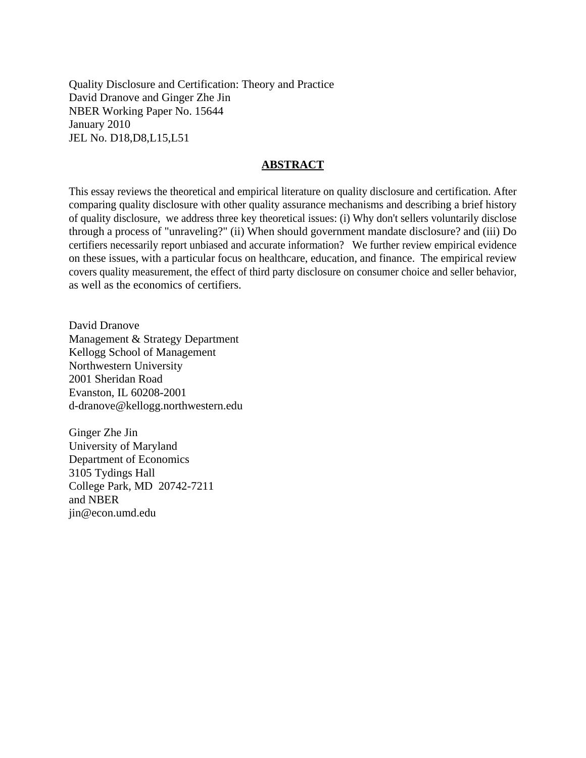Quality Disclosure and Certification: Theory and Practice David Dranove and Ginger Zhe Jin NBER Working Paper No. 15644 January 2010 JEL No. D18,D8,L15,L51

#### **ABSTRACT**

This essay reviews the theoretical and empirical literature on quality disclosure and certification. After comparing quality disclosure with other quality assurance mechanisms and describing a brief history of quality disclosure, we address three key theoretical issues: (i) Why don't sellers voluntarily disclose through a process of "unraveling?" (ii) When should government mandate disclosure? and (iii) Do certifiers necessarily report unbiased and accurate information? We further review empirical evidence on these issues, with a particular focus on healthcare, education, and finance. The empirical review covers quality measurement, the effect of third party disclosure on consumer choice and seller behavior, as well as the economics of certifiers.

David Dranove Management & Strategy Department Kellogg School of Management Northwestern University 2001 Sheridan Road Evanston, IL 60208-2001 d-dranove@kellogg.northwestern.edu

Ginger Zhe Jin University of Maryland Department of Economics 3105 Tydings Hall College Park, MD 20742-7211 and NBER jin@econ.umd.edu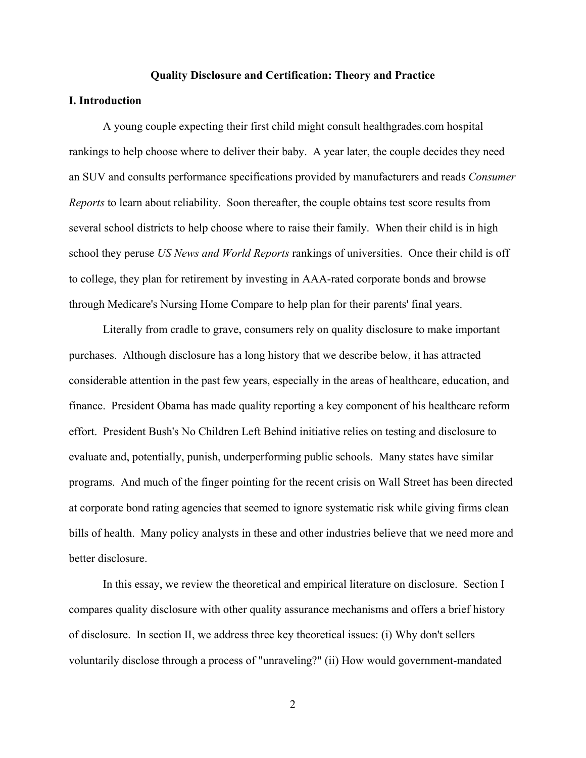#### **Quality Disclosure and Certification: Theory and Practice**

#### **I. Introduction**

A young couple expecting their first child might consult healthgrades.com hospital rankings to help choose where to deliver their baby. A year later, the couple decides they need an SUV and consults performance specifications provided by manufacturers and reads *Consumer Reports* to learn about reliability. Soon thereafter, the couple obtains test score results from several school districts to help choose where to raise their family. When their child is in high school they peruse *US News and World Reports* rankings of universities. Once their child is off to college, they plan for retirement by investing in AAA-rated corporate bonds and browse through Medicare's Nursing Home Compare to help plan for their parents' final years.

Literally from cradle to grave, consumers rely on quality disclosure to make important purchases. Although disclosure has a long history that we describe below, it has attracted considerable attention in the past few years, especially in the areas of healthcare, education, and finance. President Obama has made quality reporting a key component of his healthcare reform effort. President Bush's No Children Left Behind initiative relies on testing and disclosure to evaluate and, potentially, punish, underperforming public schools. Many states have similar programs. And much of the finger pointing for the recent crisis on Wall Street has been directed at corporate bond rating agencies that seemed to ignore systematic risk while giving firms clean bills of health. Many policy analysts in these and other industries believe that we need more and better disclosure.

In this essay, we review the theoretical and empirical literature on disclosure. Section I compares quality disclosure with other quality assurance mechanisms and offers a brief history of disclosure. In section II, we address three key theoretical issues: (i) Why don't sellers voluntarily disclose through a process of "unraveling?" (ii) How would government-mandated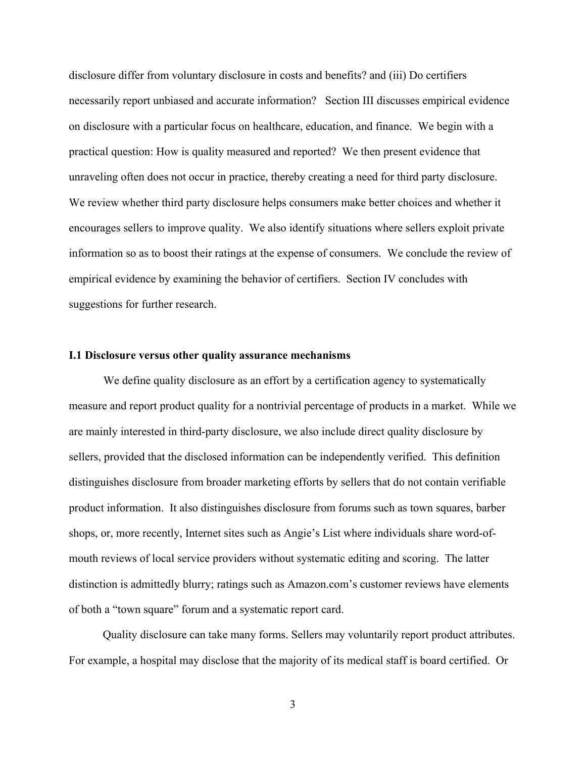disclosure differ from voluntary disclosure in costs and benefits? and (iii) Do certifiers necessarily report unbiased and accurate information? Section III discusses empirical evidence on disclosure with a particular focus on healthcare, education, and finance. We begin with a practical question: How is quality measured and reported? We then present evidence that unraveling often does not occur in practice, thereby creating a need for third party disclosure. We review whether third party disclosure helps consumers make better choices and whether it encourages sellers to improve quality. We also identify situations where sellers exploit private information so as to boost their ratings at the expense of consumers. We conclude the review of empirical evidence by examining the behavior of certifiers. Section IV concludes with suggestions for further research.

#### **I.1 Disclosure versus other quality assurance mechanisms**

 We define quality disclosure as an effort by a certification agency to systematically measure and report product quality for a nontrivial percentage of products in a market. While we are mainly interested in third-party disclosure, we also include direct quality disclosure by sellers, provided that the disclosed information can be independently verified. This definition distinguishes disclosure from broader marketing efforts by sellers that do not contain verifiable product information. It also distinguishes disclosure from forums such as town squares, barber shops, or, more recently, Internet sites such as Angie's List where individuals share word-ofmouth reviews of local service providers without systematic editing and scoring. The latter distinction is admittedly blurry; ratings such as Amazon.com's customer reviews have elements of both a "town square" forum and a systematic report card.

Quality disclosure can take many forms. Sellers may voluntarily report product attributes. For example, a hospital may disclose that the majority of its medical staff is board certified. Or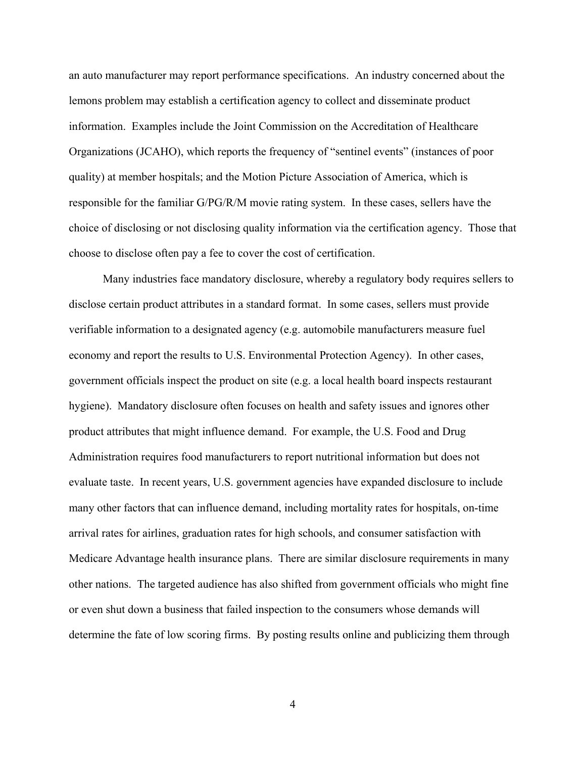an auto manufacturer may report performance specifications. An industry concerned about the lemons problem may establish a certification agency to collect and disseminate product information. Examples include the Joint Commission on the Accreditation of Healthcare Organizations (JCAHO), which reports the frequency of "sentinel events" (instances of poor quality) at member hospitals; and the Motion Picture Association of America, which is responsible for the familiar G/PG/R/M movie rating system. In these cases, sellers have the choice of disclosing or not disclosing quality information via the certification agency. Those that choose to disclose often pay a fee to cover the cost of certification.

Many industries face mandatory disclosure, whereby a regulatory body requires sellers to disclose certain product attributes in a standard format. In some cases, sellers must provide verifiable information to a designated agency (e.g. automobile manufacturers measure fuel economy and report the results to U.S. Environmental Protection Agency). In other cases, government officials inspect the product on site (e.g. a local health board inspects restaurant hygiene). Mandatory disclosure often focuses on health and safety issues and ignores other product attributes that might influence demand. For example, the U.S. Food and Drug Administration requires food manufacturers to report nutritional information but does not evaluate taste. In recent years, U.S. government agencies have expanded disclosure to include many other factors that can influence demand, including mortality rates for hospitals, on-time arrival rates for airlines, graduation rates for high schools, and consumer satisfaction with Medicare Advantage health insurance plans. There are similar disclosure requirements in many other nations. The targeted audience has also shifted from government officials who might fine or even shut down a business that failed inspection to the consumers whose demands will determine the fate of low scoring firms. By posting results online and publicizing them through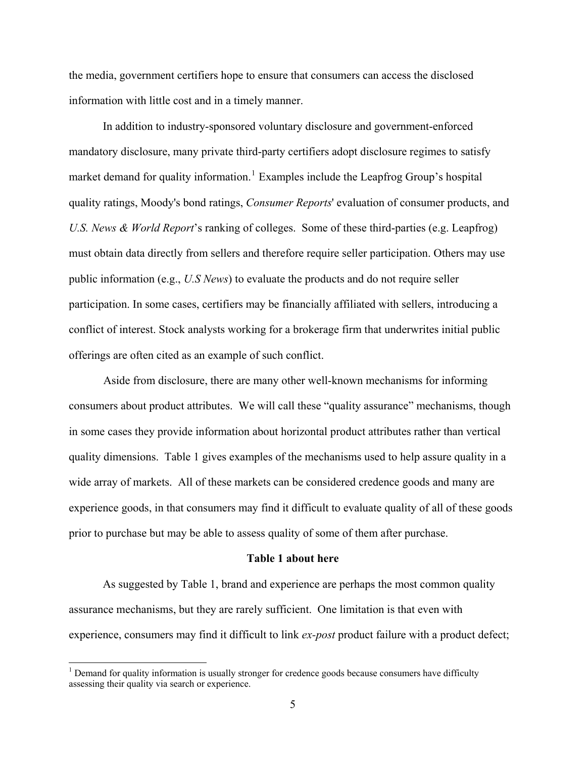the media, government certifiers hope to ensure that consumers can access the disclosed information with little cost and in a timely manner.

In addition to industry-sponsored voluntary disclosure and government-enforced mandatory disclosure, many private third-party certifiers adopt disclosure regimes to satisfy market demand for quality information.<sup>[1](#page-6-0)</sup> Examples include the Leapfrog Group's hospital quality ratings, Moody's bond ratings, *Consumer Reports*' evaluation of consumer products, an d *U.S. News & World Report*'s ranking of colleges. Some of these third-parties (e.g. Leapfrog) must obtain data directly from sellers and therefore require seller participation. Others may use public information (e.g., *U.S News*) to evaluate the products and do not require seller participation. In some cases, certifiers may be financially affiliated with sellers, introducing a conflict of interest. Stock analysts working for a brokerage firm that underwrites initial public offerings are often cited as an example of such conflict.

 Aside from disclosure, there are many other well-known mechanisms for informing consumers about product attributes. We will call these "quality assurance" mechanisms, though in some cases they provide information about horizontal product attributes rather than vertical quality dimensions. Table 1 gives examples of the mechanisms used to help assure quality in a wide array of markets. All of these markets can be considered credence goods and many are experience goods, in that consumers may find it difficult to evaluate quality of all of these goods prior to purchase but may be able to assess quality of some of them after purchase.

#### **Table 1 about here**

As suggested by Table 1, brand and experience are perhaps the most common quality assurance mechanisms, but they are rarely sufficient. One limitation is that even with experience, consumers may find it difficult to link *ex-post* product failure with a product defect;

<span id="page-6-0"></span> $1$  Demand for quality information is usually stronger for credence goods because consumers have difficulty assessing their quality via search or experience.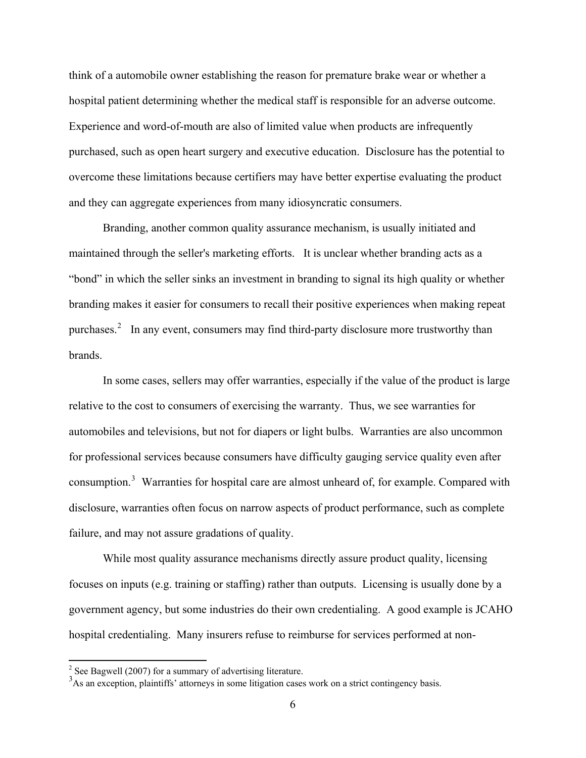think of a automobile owner establishing the reason for premature brake wear or whether a hospital patient determining whether the medical staff is responsible for an adverse outcome. Experience and word-of-mouth are also of limited value when products are infrequently purchased, such as open heart surgery and executive education. Disclosure has the potential to overcome these limitations because certifiers may have better expertise evaluating the product and they can aggregate experiences from many idiosyncratic consumers.

Branding, another common quality assurance mechanism, is usually initiated and maintained through the seller's marketing efforts. It is unclear whether branding acts as a "bond" in which the seller sinks an investment in branding to signal its high quality or whether branding makes it easier for consumers to recall their positive experiences when making repeat purchases.<sup>[2](#page-7-0)</sup> In any event, consumers may find third-party disclosure more trustworthy than brands.

In some cases, sellers may offer warranties, especially if the value of the product is large relative to the cost to consumers of exercising the warranty. Thus, we see warranties for automobiles and televisions, but not for diapers or light bulbs. Warranties are also uncommon for professional services because consumers have difficulty gauging service quality even after consumption.<sup>[3](#page-7-1)</sup> Warranties for hospital care are almost unheard of, for example. Compared with disclosure, warranties often focus on narrow aspects of product performance, such as complete failure, and may not assure gradations of quality.

While most quality assurance mechanisms directly assure product quality, licensing focuses on inputs (e.g. training or staffing) rather than outputs. Licensing is usually done by a government agency, but some industries do their own credentialing. A good example is JCAHO hospital credentialing. Many insurers refuse to reimburse for services performed at non-

<span id="page-7-0"></span><sup>&</sup>lt;sup>2</sup> See Bagwell (2007) for a summary of advertising literature.

<span id="page-7-1"></span><sup>&</sup>lt;sup>3</sup>As an exception, plaintiffs' attorneys in some litigation cases work on a strict contingency basis.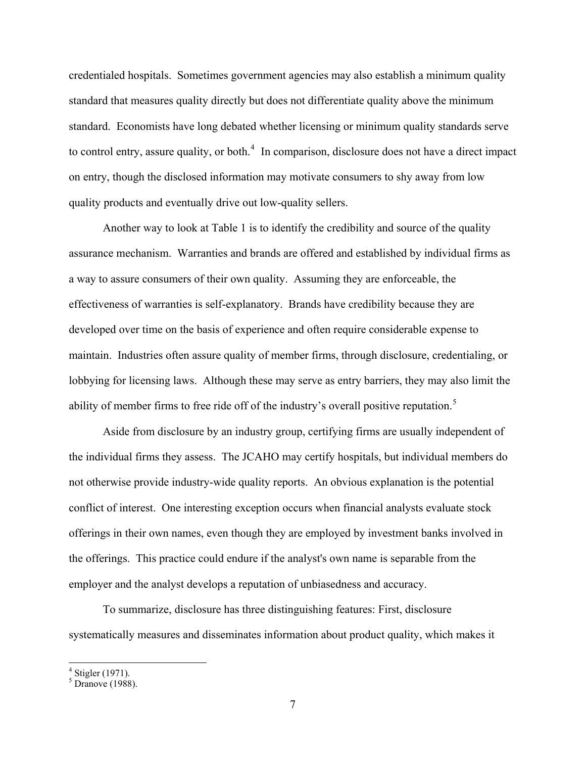credentialed hospitals. Sometimes government agencies may also establish a minimum quality standard that measures quality directly but does not differentiate quality above the minimum standard. Economists have long debated whether licensing or minimum quality standards serve to control entry, assure quality, or both. $4\,$  $4\,$  In comparison, disclosure does not have a direct impact on entry, though the disclosed information may motivate consumers to shy away from low quality products and eventually drive out low-quality sellers.

Another way to look at Table 1 is to identify the credibility and source of the quality assurance mechanism. Warranties and brands are offered and established by individual firms as a way to assure consumers of their own quality. Assuming they are enforceable, the effectiveness of warranties is self-explanatory. Brands have credibility because they are developed over time on the basis of experience and often require considerable expense to maintain. Industries often assure quality of member firms, through disclosure, credentialing, or lobbying for licensing laws. Although these may serve as entry barriers, they may also limit the ability of member firms to free ride off of the industry's overall positive reputation.<sup>[5](#page-8-1)</sup>

Aside from disclosure by an industry group, certifying firms are usually independent of the individual firms they assess. The JCAHO may certify hospitals, but individual members do not otherwise provide industry-wide quality reports. An obvious explanation is the potential conflict of interest. One interesting exception occurs when financial analysts evaluate stock offerings in their own names, even though they are employed by investment banks involved in the offerings. This practice could endure if the analyst's own name is separable from the employer and the analyst develops a reputation of unbiasedness and accuracy.

To summarize, disclosure has three distinguishing features: First, disclosure systematically measures and disseminates information about product quality, which makes it

 4 Stigler (1971).

<span id="page-8-1"></span><span id="page-8-0"></span> $<sup>5</sup>$  Dranove (1988).</sup>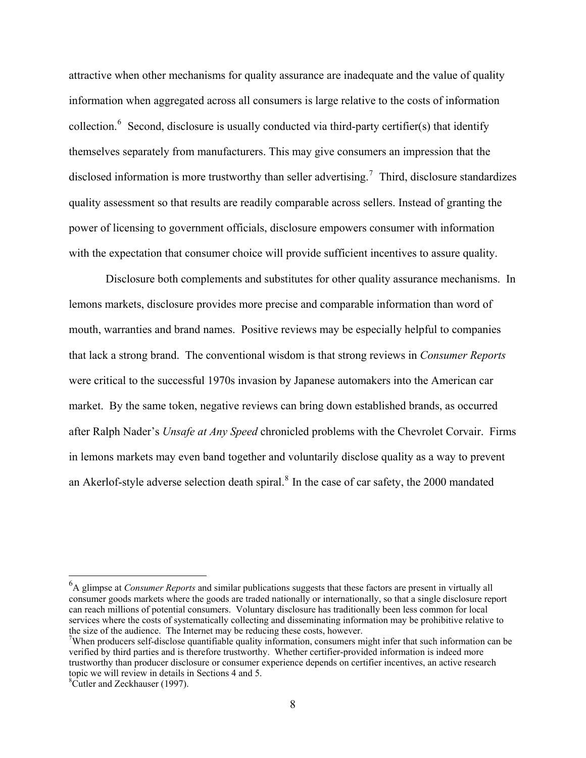attractive when other mechanisms for quality assurance are inadequate and the value of quality information when aggregated across all consumers is large relative to the costs of information collection.<sup>[6](#page-9-0)</sup> Second, disclosure is usually conducted via third-party certifier(s) that identify themselves separately from manufacturers. This may give consumers an impression that the disclosed information is more trustworthy than seller advertising.<sup>[7](#page-9-1)</sup> Third, disclosure standardizes quality assessment so that results are readily comparable across sellers. Instead of granting the power of licensing to government officials, disclosure empowers consumer with information with the expectation that consumer choice will provide sufficient incentives to assure quality.

 Disclosure both complements and substitutes for other quality assurance mechanisms. In lemons markets, disclosure provides more precise and comparable information than word of mouth, warranties and brand names. Positive reviews may be especially helpful to companies that lack a strong brand. The conventional wisdom is that strong reviews in *Consumer Reports* were critical to the successful 1970s invasion by Japanese automakers into the American car market. By the same token, negative reviews can bring down established brands, as occurred after Ralph Nader's *Unsafe at Any Speed* chronicled problems with the Chevrolet Corvair. Firms in lemons markets may even band together and voluntarily disclose quality as a way to prevent an Akerlof-style adverse selection death spiral. $8$  In the case of car safety, the 2000 mandated

<span id="page-9-0"></span><sup>6</sup> A glimpse at *Consumer Reports* and similar publications suggests that these factors are present in virtually all consumer goods markets where the goods are traded nationally or internationally, so that a single disclosure report can reach millions of potential consumers. Voluntary disclosure has traditionally been less common for local services where the costs of systematically collecting and disseminating information may be prohibitive relative to the size of the audience. The Internet may be reducing these costs, however.

<span id="page-9-1"></span>When producers self-disclose quantifiable quality information, consumers might infer that such information can be verified by third parties and is therefore trustworthy. Whether certifier-provided information is indeed more trustworthy than producer disclosure or consumer experience depends on certifier incentives, an active research topic we will review in details in Sections 4 and 5.

<span id="page-9-2"></span><sup>8</sup> Cutler and Zeckhauser (1997).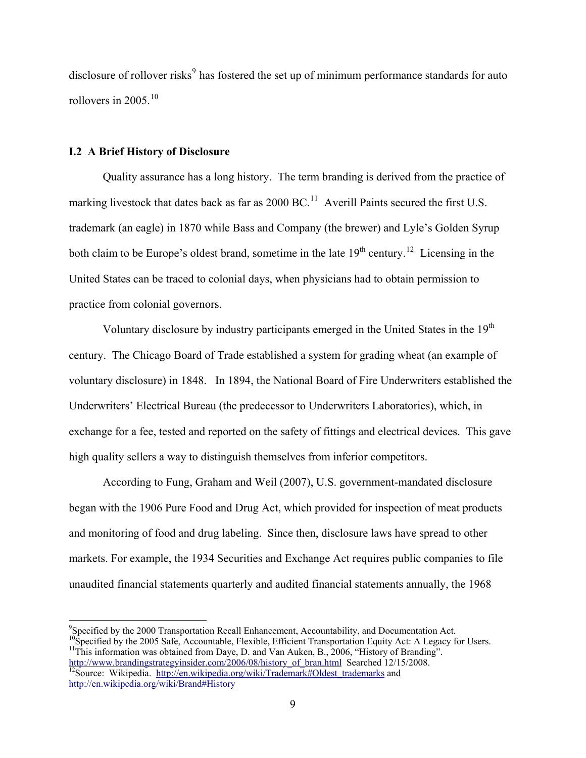disclosure of rollover risks<sup>[9](#page-10-0)</sup> has fostered the set up of minimum performance standards for auto rollovers in 2005. $10$ 

#### **I.2 A Brief History of Disclosure**

Quality assurance has a long history. The term branding is derived from the practice of marking livestock that dates back as far as  $2000 \text{ BC}$ .<sup>[11](#page-10-2)</sup> Averill Paints secured the first U.S. trademark (an eagle) in 1870 while Bass and Company (the brewer) and Lyle's Golden Syrup both claim to be Europe's oldest brand, sometime in the late  $19<sup>th</sup>$  century.<sup>[12](#page-10-3)</sup> Licensing in the United States can be traced to colonial days, when physicians had to obtain permission to practice from colonial governors.

Voluntary disclosure by industry participants emerged in the United States in the 19<sup>th</sup> century. The Chicago Board of Trade established a system for grading wheat (an example of voluntary disclosure) in 1848. In 1894, the National Board of Fire Underwriters established the Underwriters' Electrical Bureau (the predecessor to Underwriters Laboratories), which, in exchange for a fee, tested and reported on the safety of fittings and electrical devices. This gave high quality sellers a way to distinguish themselves from inferior competitors.

According to Fung, Graham and Weil (2007), U.S. government-mandated disclosure began with the 1906 Pure Food and Drug Act, which provided for inspection of meat products and monitoring of food and drug labeling. Since then, disclosure laws have spread to other markets. For example, the 1934 Securities and Exchange Act requires public companies to file unaudited financial statements quarterly and audited financial statements annually, the 1968

<span id="page-10-3"></span><span id="page-10-2"></span><span id="page-10-1"></span><span id="page-10-0"></span><sup>9</sup> Specified by the 2000 Transportation Recall Enhancement, Accountability, and Documentation Act. <sup>10</sup>Specified by the 2005 Safe, Accountable, Flexible, Efficient Transportation Equity Act: A Legacy for Users. <sup>11</sup>This information was obtained from Daye, D. and Van Auken, B., 2006, "History of Branding". [http://www.brandingstrategyinsider.com/2006/08/history\\_of\\_bran.html](http://www.brandingstrategyinsider.com/2006/08/history_of_bran.html) [Searched 1](http://en.wikipedia.org/wiki/Trademark#Oldest_trademarks)2/15/2008.<br><sup>12</sup>Source: Wikipedia. [http://en.wikipedia.org/wiki/Trademark#Oldest\\_trademarks](http://en.wikipedia.org/wiki/Trademark#Oldest_trademarks) and <http://en.wikipedia.org/wiki/Brand#History>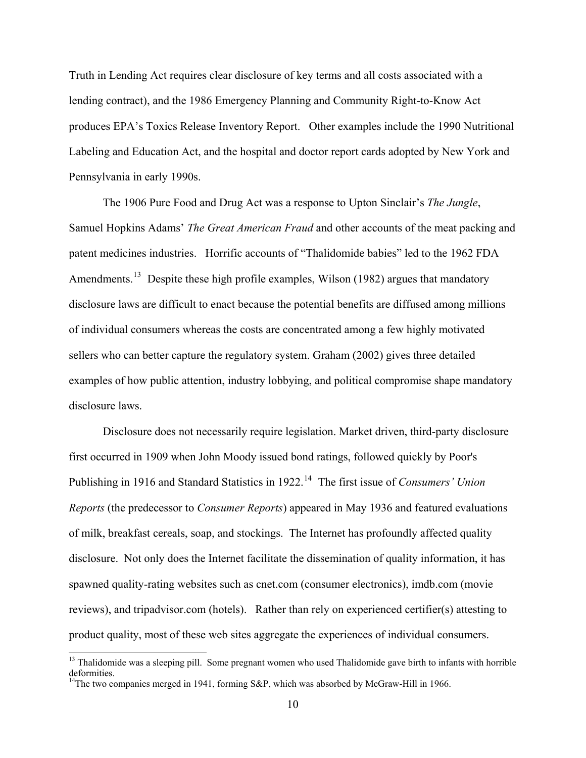Truth in Lending Act requires clear disclosure of key terms and all costs associated with a lending contract), and the 1986 Emergency Planning and Community Right-to-Know Act produces EPA's Toxics Release Inventory Report. Other examples include the 1990 Nutritional Labeling and Education Act, and the hospital and doctor report cards adopted by New York and Pennsylvania in early 1990s.

The 1906 Pure Food and Drug Act was a response to Upton Sinclair's *The Jungle*, Samuel Hopkins Adams' *The Great American Fraud* and other accounts of the meat packing and patent medicines industries. Horrific accounts of "Thalidomide babies" led to the 1962 FDA Amendments.<sup>[13](#page-11-0)</sup> Despite these high profile examples, Wilson (1982) argues that mandatory disclosure laws are difficult to enact because the potential benefits are diffused among millions of individual consumers whereas the costs are concentrated among a few highly motivated sellers who can better capture the regulatory system. Graham (2002) gives three detailed examples of how public attention, industry lobbying, and political compromise shape mandatory disclosure laws.

Disclosure does not necessarily require legislation. Market driven, third-party disclosure first occurred in 1909 when John Moody issued bond ratings, followed quickly by Poor's Publishing in 1916 and Standard Statistics in 1922.<sup>[14](#page-11-1)</sup> The first issue of *Consumers' Union Reports* (the predecessor to *Consumer Reports*) appeared in May 1936 and featured evaluations of milk, breakfast cereals, soap, and stockings. The Internet has profoundly affected quality disclosure. Not only does the Internet facilitate the dissemination of quality information, it has spawned quality-rating websites such as cnet.com (consumer electronics), imdb.com (movie reviews), and tripadvisor.com (hotels). Rather than rely on experienced certifier(s) attesting to product quality, most of these web sites aggregate the experiences of individual consumers.

<span id="page-11-1"></span><span id="page-11-0"></span><sup>&</sup>lt;sup>13</sup> Thalidomide was a sleeping pill. Some pregnant women who used Thalidomide gave birth to infants with horrible deformities. <sup>14</sup>The two companies merged in 1941, forming S&P, which was absorbed by McGraw-Hill in 1966.

<sup>10</sup>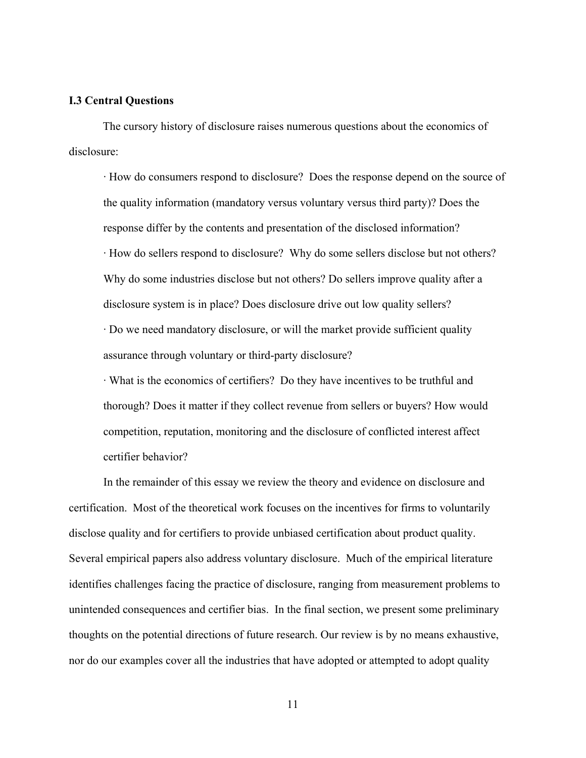#### **I.3 Central Questions**

The cursory history of disclosure raises numerous questions about the economics of disclosure:

· How do consumers respond to disclosure? Does the response depend on the source of the quality information (mandatory versus voluntary versus third party)? Does the response differ by the contents and presentation of the disclosed information? · How do sellers respond to disclosure? Why do some sellers disclose but not others? Why do some industries disclose but not others? Do sellers improve quality after a disclosure system is in place? Does disclosure drive out low quality sellers? · Do we need mandatory disclosure, or will the market provide sufficient quality assurance through voluntary or third-party disclosure?

· What is the economics of certifiers? Do they have incentives to be truthful and thorough? Does it matter if they collect revenue from sellers or buyers? How would competition, reputation, monitoring and the disclosure of conflicted interest affect certifier behavior?

 In the remainder of this essay we review the theory and evidence on disclosure and certification. Most of the theoretical work focuses on the incentives for firms to voluntarily disclose quality and for certifiers to provide unbiased certification about product quality. Several empirical papers also address voluntary disclosure. Much of the empirical literature identifies challenges facing the practice of disclosure, ranging from measurement problems to unintended consequences and certifier bias. In the final section, we present some preliminary thoughts on the potential directions of future research. Our review is by no means exhaustive, nor do our examples cover all the industries that have adopted or attempted to adopt quality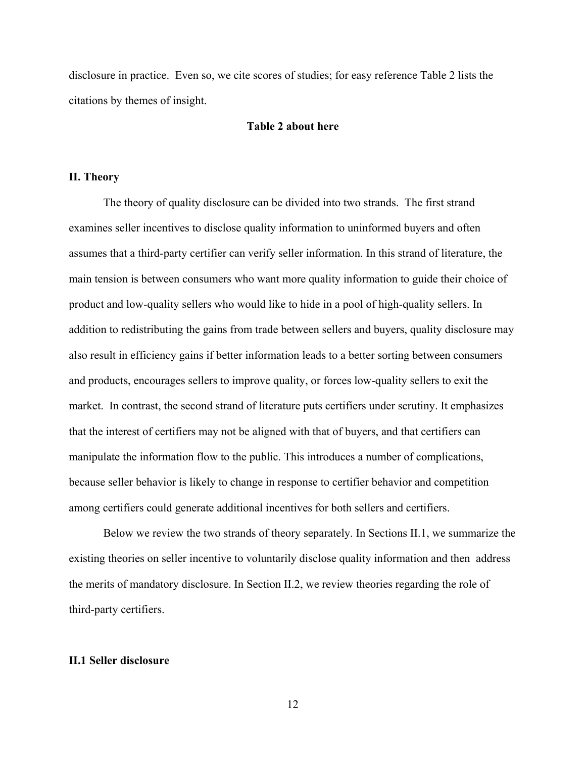disclosure in practice. Even so, we cite scores of studies; for easy reference Table 2 lists the citations by themes of insight.

#### **Table 2 about here**

#### **II. Theory**

 The theory of quality disclosure can be divided into two strands. The first strand examines seller incentives to disclose quality information to uninformed buyers and often assumes that a third-party certifier can verify seller information. In this strand of literature, the main tension is between consumers who want more quality information to guide their choice of product and low-quality sellers who would like to hide in a pool of high-quality sellers. In addition to redistributing the gains from trade between sellers and buyers, quality disclosure may also result in efficiency gains if better information leads to a better sorting between consumers and products, encourages sellers to improve quality, or forces low-quality sellers to exit the market. In contrast, the second strand of literature puts certifiers under scrutiny. It emphasizes that the interest of certifiers may not be aligned with that of buyers, and that certifiers can manipulate the information flow to the public. This introduces a number of complications, because seller behavior is likely to change in response to certifier behavior and competition among certifiers could generate additional incentives for both sellers and certifiers.

 Below we review the two strands of theory separately. In Sections II.1, we summarize the existing theories on seller incentive to voluntarily disclose quality information and then address the merits of mandatory disclosure. In Section II.2, we review theories regarding the role of third-party certifiers.

#### **II.1 Seller disclosure**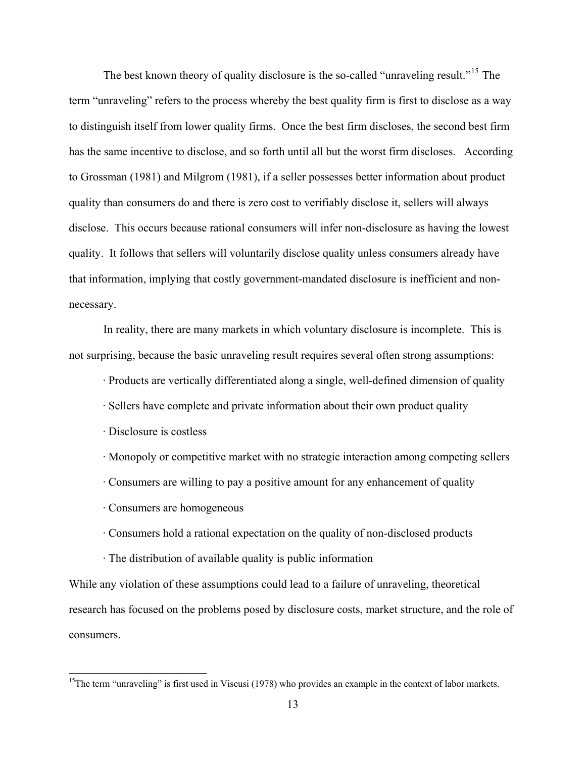The best known theory of quality disclosure is the so-called "unraveling result."<sup>[15](#page-14-0)</sup> The term "unraveling" refers to the process whereby the best quality firm is first to disclose as a way to distinguish itself from lower quality firms. Once the best firm discloses, the second best firm has the same incentive to disclose, and so forth until all but the worst firm discloses. According to Grossman (1981) and Milgrom (1981), if a seller possesses better information about product quality than consumers do and there is zero cost to verifiably disclose it, sellers will always disclose. This occurs because rational consumers will infer non-disclosure as having the lowest quality. It follows that sellers will voluntarily disclose quality unless consumers already have that information, implying that costly government-mandated disclosure is inefficient and nonnecessary.

 In reality, there are many markets in which voluntary disclosure is incomplete. This is not surprising, because the basic unraveling result requires several often strong assumptions:

· Products are vertically differentiated along a single, well-defined dimension of quality

- · Sellers have complete and private information about their own product quality
- · Disclosure is costless

1

- · Monopoly or competitive market with no strategic interaction among competing sellers
- · Consumers are willing to pay a positive amount for any enhancement of quality
- · Consumers are homogeneous
- · Consumers hold a rational expectation on the quality of non-disclosed products
- · The distribution of available quality is public information

While any violation of these assumptions could lead to a failure of unraveling, theoretical research has focused on the problems posed by disclosure costs, market structure, and the role of consumers.

<span id="page-14-0"></span><sup>&</sup>lt;sup>15</sup>The term "unraveling" is first used in Viscusi (1978) who provides an example in the context of labor markets.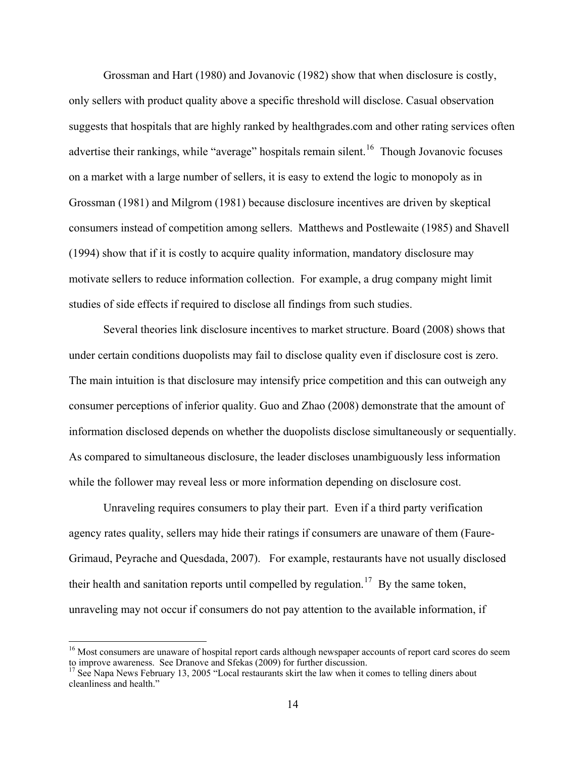Grossman and Hart (1980) and Jovanovic (1982) show that when disclosure is costly, only sellers with product quality above a specific threshold will disclose. Casual observation suggests that hospitals that are highly ranked by healthgrades.com and other rating services often advertise their rankings, while "average" hospitals remain silent.<sup>[16](#page-15-0)</sup> Though Jovanovic focuses on a market with a large number of sellers, it is easy to extend the logic to monopoly as in Grossman (1981) and Milgrom (1981) because disclosure incentives are driven by skeptical consumers instead of competition among sellers. Matthews and Postlewaite (1985) and Shavell (1994) show that if it is costly to acquire quality information, mandatory disclosure may motivate sellers to reduce information collection. For example, a drug company might limit studies of side effects if required to disclose all findings from such studies.

 Several theories link disclosure incentives to market structure. Board (2008) shows that under certain conditions duopolists may fail to disclose quality even if disclosure cost is zero. The main intuition is that disclosure may intensify price competition and this can outweigh any consumer perceptions of inferior quality. Guo and Zhao (2008) demonstrate that the amount of information disclosed depends on whether the duopolists disclose simultaneously or sequentially. As compared to simultaneous disclosure, the leader discloses unambiguously less information while the follower may reveal less or more information depending on disclosure cost.

 Unraveling requires consumers to play their part. Even if a third party verification agency rates quality, sellers may hide their ratings if consumers are unaware of them (Faure-Grimaud, Peyrache and Quesdada, 2007). For example, restaurants have not usually disclosed their health and sanitation reports until compelled by regulation.<sup>[17](#page-15-1)</sup> By the same token, unraveling may not occur if consumers do not pay attention to the available information, if

<span id="page-15-0"></span><sup>&</sup>lt;sup>16</sup> Most consumers are unaware of hospital report cards although newspaper accounts of report card scores do seem to improve awareness. See Dranove and Sfekas (2009) for further discussion.<br><sup>17</sup> See Napa News February 13, 2005 "Local restaurants skirt the law when it comes to telling diners about

<span id="page-15-1"></span>cleanliness and health."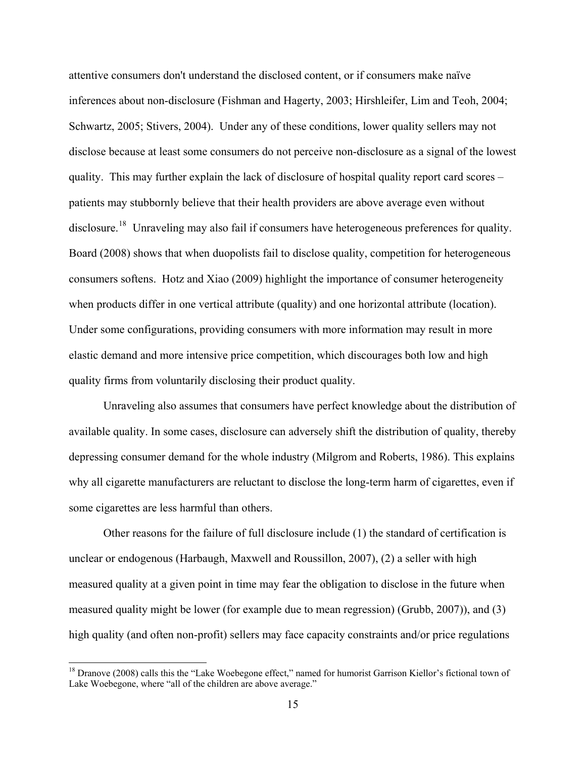attentive consumers don't understand the disclosed content, or if consumers make naïve inferences about non-disclosure (Fishman and Hagerty, 2003; Hirshleifer, Lim and Teoh, 2004; Schwartz, 2005; Stivers, 2004). Under any of these conditions, lower quality sellers may not disclose because at least some consumers do not perceive non-disclosure as a signal of the lowest quality. This may further explain the lack of disclosure of hospital quality report card scores – patients may stubbornly believe that their health providers are above average even without disclosure.<sup>[18](#page-16-0)</sup> Unraveling may also fail if consumers have heterogeneous preferences for quality. Board (2008) shows that when duopolists fail to disclose quality, competition for heterogeneous consumers softens. Hotz and Xiao (2009) highlight the importance of consumer heterogeneity when products differ in one vertical attribute (quality) and one horizontal attribute (location). Under some configurations, providing consumers with more information may result in more elastic demand and more intensive price competition, which discourages both low and high quality firms from voluntarily disclosing their product quality.

 Unraveling also assumes that consumers have perfect knowledge about the distribution of available quality. In some cases, disclosure can adversely shift the distribution of quality, thereby depressing consumer demand for the whole industry (Milgrom and Roberts, 1986). This explains why all cigarette manufacturers are reluctant to disclose the long-term harm of cigarettes, even if some cigarettes are less harmful than others.

 Other reasons for the failure of full disclosure include (1) the standard of certification is unclear or endogenous (Harbaugh, Maxwell and Roussillon, 2007), (2) a seller with high measured quality at a given point in time may fear the obligation to disclose in the future when measured quality might be lower (for example due to mean regression) (Grubb, 2007)), and (3) high quality (and often non-profit) sellers may face capacity constraints and/or price regulations

<span id="page-16-0"></span><sup>&</sup>lt;sup>18</sup> Dranove (2008) calls this the "Lake Woebegone effect," named for humorist Garrison Kiellor's fictional town of Lake Woebegone, where "all of the children are above average."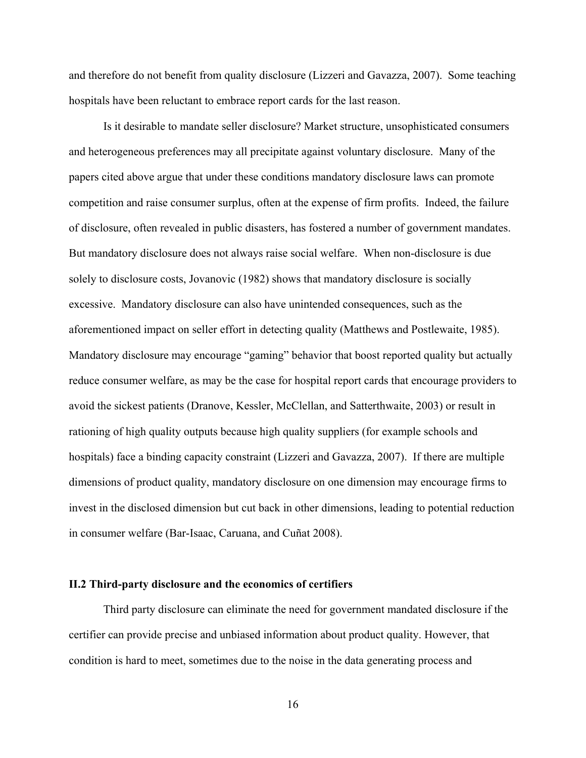and therefore do not benefit from quality disclosure (Lizzeri and Gavazza, 2007). Some teaching hospitals have been reluctant to embrace report cards for the last reason.

 Is it desirable to mandate seller disclosure? Market structure, unsophisticated consumers and heterogeneous preferences may all precipitate against voluntary disclosure. Many of the papers cited above argue that under these conditions mandatory disclosure laws can promote competition and raise consumer surplus, often at the expense of firm profits. Indeed, the failure of disclosure, often revealed in public disasters, has fostered a number of government mandates. But mandatory disclosure does not always raise social welfare. When non-disclosure is due solely to disclosure costs, Jovanovic (1982) shows that mandatory disclosure is socially excessive. Mandatory disclosure can also have unintended consequences, such as the aforementioned impact on seller effort in detecting quality (Matthews and Postlewaite, 1985). Mandatory disclosure may encourage "gaming" behavior that boost reported quality but actually reduce consumer welfare, as may be the case for hospital report cards that encourage providers to avoid the sickest patients (Dranove, Kessler, McClellan, and Satterthwaite, 2003) or result in rationing of high quality outputs because high quality suppliers (for example schools and hospitals) face a binding capacity constraint (Lizzeri and Gavazza, 2007). If there are multiple dimensions of product quality, mandatory disclosure on one dimension may encourage firms to invest in the disclosed dimension but cut back in other dimensions, leading to potential reduction in consumer welfare (Bar-Isaac, Caruana, and Cuñat 2008).

#### **II.2 Third-party disclosure and the economics of certifiers**

 Third party disclosure can eliminate the need for government mandated disclosure if the certifier can provide precise and unbiased information about product quality. However, that condition is hard to meet, sometimes due to the noise in the data generating process and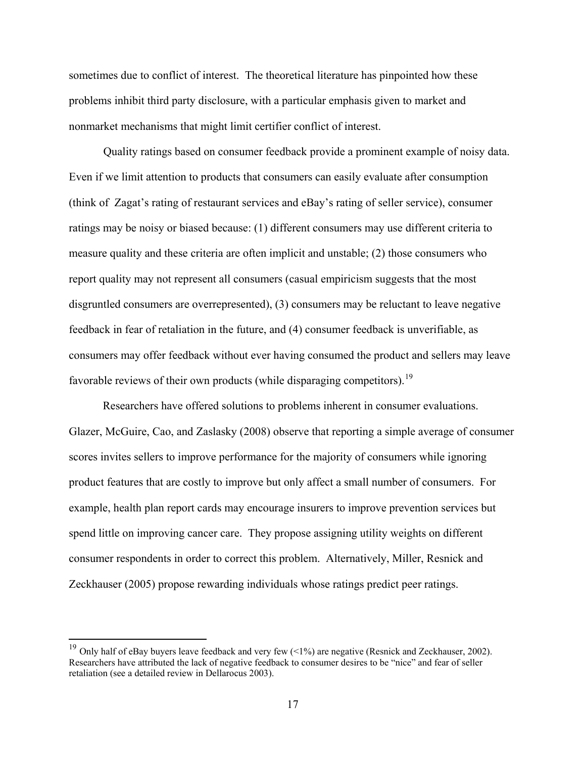sometimes due to conflict of interest. The theoretical literature has pinpointed how these problems inhibit third party disclosure, with a particular emphasis given to market and nonmarket mechanisms that might limit certifier conflict of interest.

 Quality ratings based on consumer feedback provide a prominent example of noisy data. Even if we limit attention to products that consumers can easily evaluate after consumption (think of Zagat's rating of restaurant services and eBay's rating of seller service), consumer ratings may be noisy or biased because: (1) different consumers may use different criteria to measure quality and these criteria are often implicit and unstable; (2) those consumers who report quality may not represent all consumers (casual empiricism suggests that the most disgruntled consumers are overrepresented), (3) consumers may be reluctant to leave negative feedback in fear of retaliation in the future, and (4) consumer feedback is unverifiable, as consumers may offer feedback without ever having consumed the product and sellers may leave favorable reviews of their own products (while disparaging competitors).<sup>[19](#page-18-0)</sup>

Researchers have offered solutions to problems inherent in consumer evaluations. Glazer, McGuire, Cao, and Zaslasky (2008) observe that reporting a simple average of consumer scores invites sellers to improve performance for the majority of consumers while ignoring product features that are costly to improve but only affect a small number of consumers. For example, health plan report cards may encourage insurers to improve prevention services but spend little on improving cancer care. They propose assigning utility weights on different consumer respondents in order to correct this problem. Alternatively, Miller, Resnick and Zeckhauser (2005) propose rewarding individuals whose ratings predict peer ratings.

<span id="page-18-0"></span><sup>&</sup>lt;sup>19</sup> Only half of eBay buyers leave feedback and very few  $\left($  <1%) are negative (Resnick and Zeckhauser, 2002). Researchers have attributed the lack of negative feedback to consumer desires to be "nice" and fear of seller retaliation (see a detailed review in Dellarocus 2003).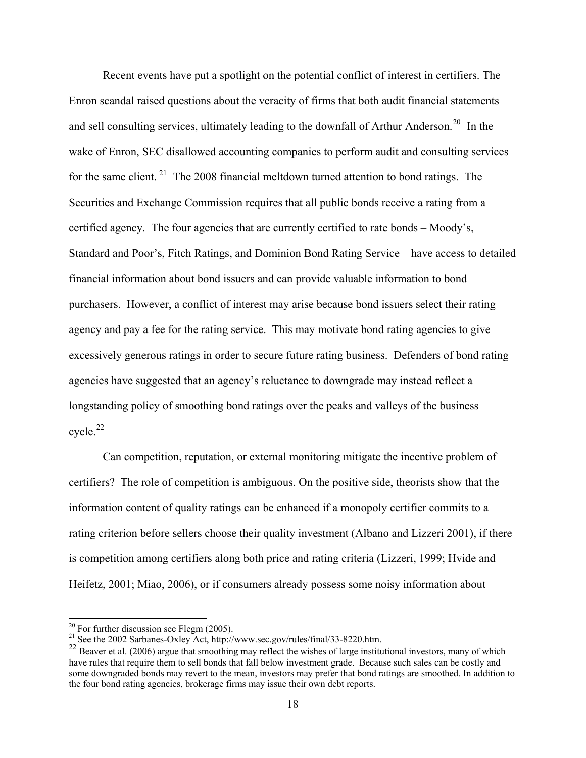Recent events have put a spotlight on the potential conflict of interest in certifiers. The Enron scandal raised questions about the veracity of firms that both audit financial statements and sell consulting services, ultimately leading to the downfall of Arthur Anderson.<sup>[20](#page-19-0)</sup> In the wake of Enron, SEC disallowed accounting companies to perform audit and consulting services for the same client.<sup>[21](#page-19-1)</sup> The 2008 financial meltdown turned attention to bond ratings. The Securities and Exchange Commission requires that all public bonds receive a rating from a certified agency. The four agencies that are currently certified to rate bonds – Moody's, Standard and Poor's, Fitch Ratings, and Dominion Bond Rating Service – have access to detailed financial information about bond issuers and can provide valuable information to bond purchasers. However, a conflict of interest may arise because bond issuers select their rating agency and pay a fee for the rating service. This may motivate bond rating agencies to give excessively generous ratings in order to secure future rating business. Defenders of bond rating agencies have suggested that an agency's reluctance to downgrade may instead reflect a longstanding policy of smoothing bond ratings over the peaks and valleys of the business  $cycle.<sup>22</sup>$ 

[certifiers? The role of competition is ambiguous. On the positive side, theorists show that th](#page-20-0)e [rating criterion before sellers choose their quality investment \(Albano and Lizzeri 2001\), if the](#page-20-0)re [Heifetz, 2001; Miao, 2006\), or if consumers already possess some noisy information abou](#page-20-0)t [Can competition, reputation, or external monitoring mitigate the incentive problem of](#page-20-0)  [information content of quality ratings can be enhanced if a monopoly certifier commits to a](#page-20-0)  [is competition among certifiers along both price and rating criteria \(Lizzeri, 1999; Hvide and](#page-20-0)

<span id="page-19-0"></span> $20$  For further discussion see Flegm (2005).

<sup>&</sup>lt;sup>21</sup> See the 2002 Sarbanes-Oxley Act, http://www.sec.gov/rules/final/33-8220.htm.

<span id="page-19-1"></span><sup>&</sup>lt;sup>22</sup> Beaver et al. (2006) argue that smoothing may reflect the wishes of large institutional investors, many of which have rules that require them to sell bonds that fall below investment grade. Because such sales can be costly and some downgraded bonds may revert to the mean, investors may prefer that bond ratings are smoothed. In addition to the four bond rating agencies, brokerage firms may issue their own debt reports.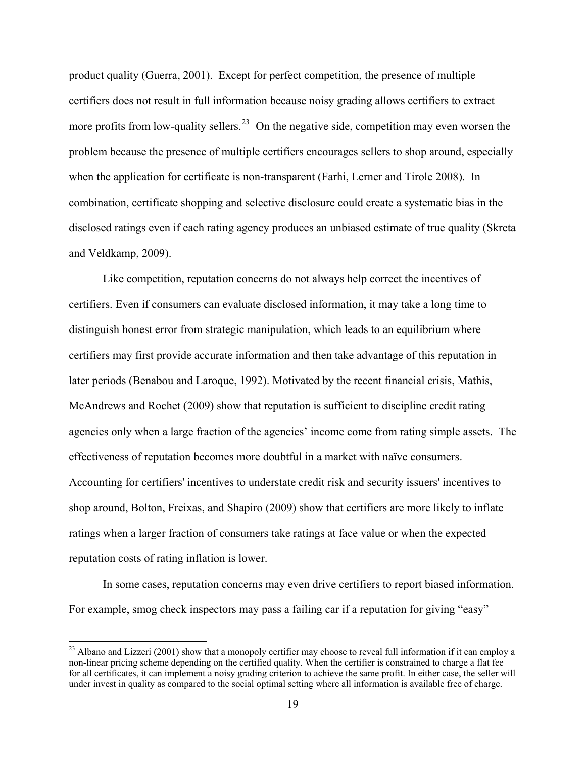[product quality \(Guerra, 2001\). Except for perfect competition, the presence of multiple](#page-20-0)  [certifiers does not result in full information because noisy grading allows certifiers to extract](#page-20-0)  more profits from low-quality sellers.<sup>23</sup> On the negative side, competition may even worsen the [problem because the presence of multiple certifiers encourages sellers to shop around, espe](#page-20-0) cially [when the application for certificate is non-transparent \(Farhi, Lerner and Tirole 2008\). In](#page-20-0)  [combination, certificate shopping and selective disclosure could create a systematic bias in the](#page-20-0)  [disclosed ratings even if](#page-20-0) each rating agency produces an unbiased estimate of true quality (Skreta and Ve ldkamp, 2009).

agencies only when a large fraction of the agencies' income come from rating simple assets. The shop around, Bolton, Freixas, and Shapiro (2009) show that certifiers are more likely to inflate ratings when a larger fraction of consumers take ratings at face value or when the expected reputat ion costs of rating inflation is lower. Like competition, reputation concerns do not always help correct the incentives of certifiers. Even if consumers can evaluate disclosed information, it may take a long time to distinguish honest error from strategic manipulation, which leads to an equilibrium where certifiers may first provide accurate information and then take advantage of this reputation in later periods (Benabou and Laroque, 1992). Motivated by the recent financial crisis, Mathis, McAndrews and Rochet (2009) show that reputation is sufficient to discipline credit rating effectiveness of reputation becomes more doubtful in a market with naïve consumers. Accounting for certifiers' incentives to understate credit risk and security issuers' incentives to

In some cases, reputation concerns may even drive certifiers to report biased information. For example, smog check inspectors may pass a failing car if a reputation for giving "easy"

<span id="page-20-0"></span> $^{23}$  Albano and Lizzeri (2001) show that a monopoly certifier may choose to reveal full information if it can employ a non-linear pricing scheme depending on the certified quality. When the certifier is constrained to charge a flat fee for all certificates, it can implement a noisy grading criterion to achieve the same profit. In either case, the seller will under invest in quality as compared to the social optimal setting where all information is available free of charge.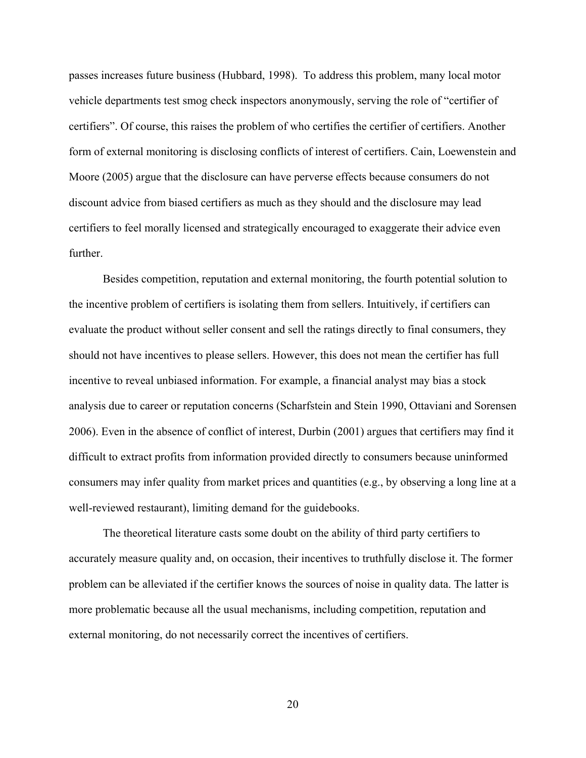passes increases future business (Hubbard, 1998). To address this problem, many local motor vehicle departments test smog check inspectors anonymously, serving the role of "certifier of certifiers". Of course, this raises the problem of who certifies the certifier of certifiers. Another form of external monitoring is disclosing conflicts of interest of certifiers. Cain, Loewenstein and Moore (2005) argue that the disclosure can have perverse effects because consumers do no t discount advice from biased certifiers as much as they should and the disclosure may lead certifiers to feel morally licensed and strategically encouraged to exaggerate their advice even further .

Besides competition, reputation and external monitoring, the fourth potential solution to should not have incentives to please sellers. However, this does not mean the certifier has full consumers may infer quality from market prices and quantities (e.g., by observing a long line at a well-re viewed restaurant), limiting demand for the guidebooks. the incentive problem of certifiers is isolating them from sellers. Intuitively, if certifiers can evaluate the product without seller consent and sell the ratings directly to final consumers, they incentive to reveal unbiased information. For example, a financial analyst may bias a stock analysis due to career or reputation concerns (Scharfstein and Stein 1990, Ottaviani and Sorensen 2006). Even in the absence of conflict of interest, Durbin (2001) argues that certifiers may find it difficult to extract profits from information provided directly to consumers because uninformed

problem can be alleviated if the certifier knows the sources of noise in quality data. The latter is more problematic because all the usual mechanisms, including competition, reputation and external monitoring, do not necessarily correct the incentives of certifiers. The theoretical literature casts some doubt on the ability of third party certifiers to accurately measure quality and, on occasion, their incentives to truthfully disclose it. The former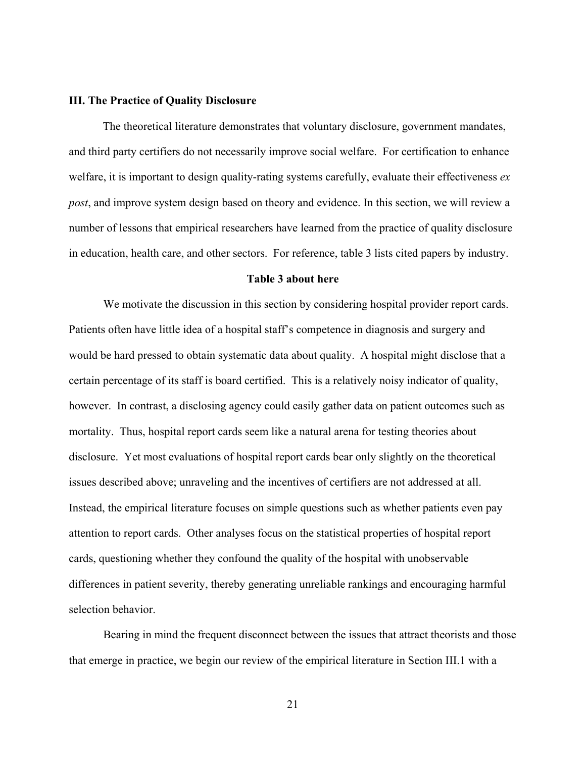#### **III. Th e Practice of Quality Disclosure**

in education, health care, and other sectors. For reference, table 3 lists cited papers by industry. The theoretical literature demonstrates that voluntary disclosure, government mandates, and third party certifiers do not necessarily improve social welfare. For certification to enhance welfare, it is important to design quality-rating systems carefully, evaluate their effectiveness *ex post*, and improve system design based on theory and evidence. In this section, we will review a number of lessons that empirical researchers have learned from the practice of quality disclosure

#### **Table 3 about here**

We motivate the discussion in this section by considering hospital provider report cards. however. In contrast, a disclosing agency could easily gather data on patient outcomes such as disclosure. Yet most evaluations of hospital report cards bear only slightly on the theoretical Instead, the empirical literature focuses on simple questions such as whether patients even pay attention to report cards. Other analyses focus on the statistical properties of hospital report differences in patient severity, thereby generating unreliable rankings and encouraging harmful Patients often have little idea of a hospital staff's competence in diagnosis and surgery and would be hard pressed to obtain systematic data about quality. A hospital might disclose that a certain percentage of its staff is board certified. This is a relatively noisy indicator of quality, mortality. Thus, hospital report cards seem like a natural arena for testing theories about issues described above; unraveling and the incentives of certifiers are not addressed at all. cards, questioning whether they confound the quality of the hospital with unobservable selection behavior.

Bearing in mind the frequent disconnect between the issues that attract theorists and those that emerge in practice, we begin our review of the empirical literature in Section III.1 with a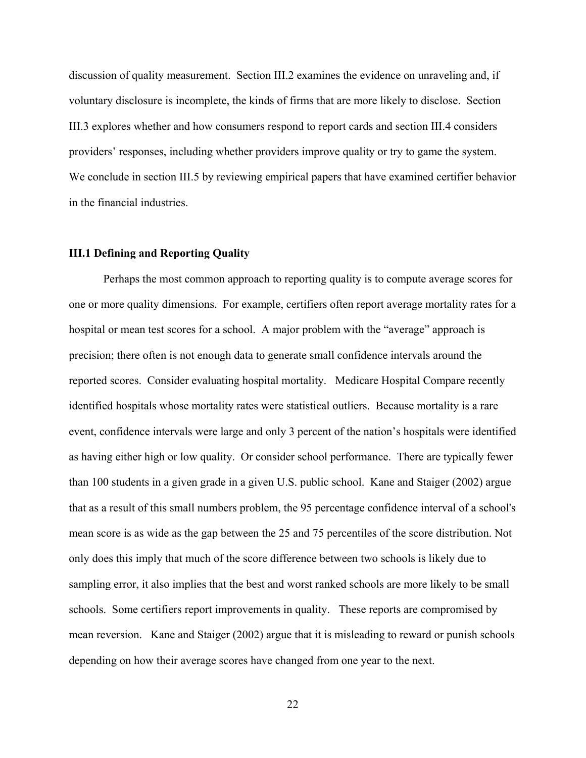discussion of quality measurement. Section III.2 examines the evidence on unraveling and, if voluntary disclosure is incomplete, the kinds of firms that are more likely to disclose. Section III.3 explores whether and how consumers respond to report cards and section III.4 considers providers' responses, including whether providers improve quality or try to game the system. We conclude in section III.5 by reviewing empirical papers that have examined certifier behavior in the financial industries.

#### **III.1 Defining and Reporting Quality**

one or more quality dimensions. For example, certifiers often report average mortality rates for a mean score is as wide as the gap between the 25 and 75 percentiles of the score distribution. Not sampling error, it also implies that the best and worst ranked schools are more likely to be small mean reversion. Kane and Staiger (2002) argue that it is misleading to reward or punish schools depending on how their average scores have changed from one year to the next. Perhaps the most common approach to reporting quality is to compute average scores for hospital or mean test scores for a school. A major problem with the "average" approach is precision; there often is not enough data to generate small confidence intervals around the reported scores. Consider evaluating hospital mortality. Medicare Hospital Compare recently identified hospitals whose mortality rates were statistical outliers. Because mortality is a rare event, confidence intervals were large and only 3 percent of the nation's hospitals were identified as having either high or low quality. Or consider school performance. There are typically fewer than 100 students in a given grade in a given U.S. public school. Kane and Staiger (2002) argue that as a result of this small numbers problem, the 95 percentage confidence interval of a school's only does this imply that much of the score difference between two schools is likely due to schools. Some certifiers report improvements in quality. These reports are compromised by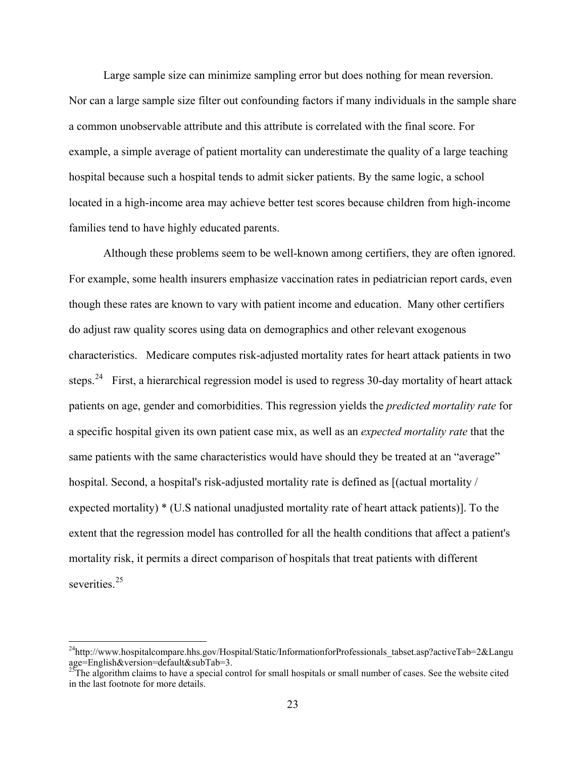Large sample size can minimize sampling error but does nothing for mean reversion. Nor can a large sample size filter out confounding factors if many individuals in the sample share a common unobservable attribute and this attribute is correlated with the final score. For example, a simple average of patient mortality can underestimate the quality of a large teaching hospital because such a hospital tends to admit sicker patients. By the same logic, a school located in a high-income area may achieve better test scores because children from high-income families tend to have highly educated parents.

 Although these problems seem to be well-known among certifiers, they are often ignored. For example, some health insurers emphasize vaccination rates in pediatrician report cards, even though these rates are known to vary with patient income and education. Many other certifiers do adjust raw quality scores using data on demographics and other relevant exogenous characteristics. Medicare computes risk-adjusted mortality rates for heart attack patients in two steps.<sup>[24](#page-24-0)</sup> First, a hierarchical regression model is used to regress 30-day mortality of heart attack patients on age, gender and comorbidities. This regression yields the *predicted mortality rate* for a specific hospital given its own patient case mix, as well as an *expected mortality rate* that the same patients with the same characteristics would have should they be treated at an "average" hospital. Second, a hospital's risk-adjusted mortality rate is defined as  $\int$  (actual mortality / expected mortality) \* (U.S national unadjusted mortality rate of heart attack patients)]. To the extent that the regression model has controlled for all the health conditions that affect a patient's mortality risk, it permits a direct comparison of hospitals that treat patients with different severities<sup>[25](#page-24-1)</sup>

<span id="page-24-0"></span><sup>&</sup>lt;sup>24</sup>http://www.hospitalcompare.hhs.gov/Hospital/Static/InformationforProfessionals\_tabset.asp?activeTab=2&Langu age=English&version=default&subTab=3.

<span id="page-24-1"></span> $25$ The algorithm claims to have a special control for small hospitals or small number of cases. See the website cited in the last footnote for more details.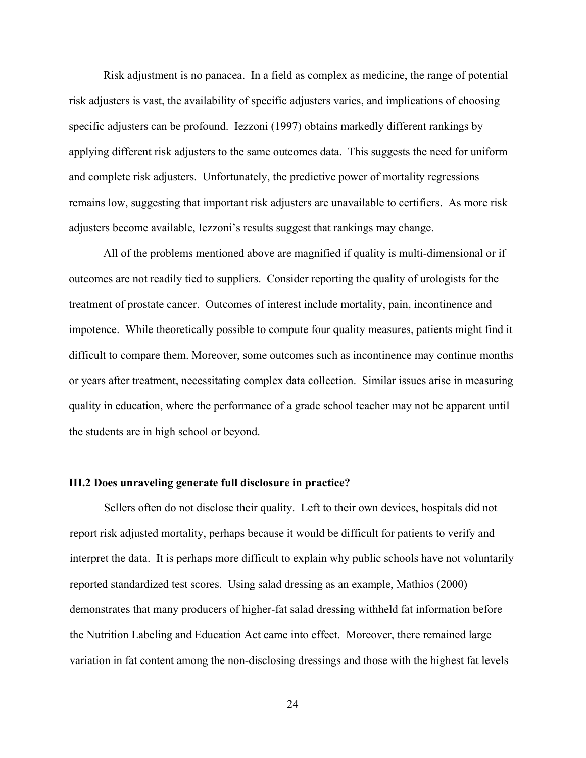Risk adjustment is no panacea. In a field as complex as medicine, the range of potential risk adjusters is vast, the availability of specific adjusters varies, and implications of choosing specific adjusters can be profound. Iezzoni (1997) obtains markedly different rankings by applying different risk adjusters to the same outcomes data. This suggests the need for uniform and complete risk adjusters. Unfortunately, the predictive power of mortality regressions remains low, suggesting that important risk adjusters are unavailable to certifiers. As more risk adjusters become available, Iezzoni's results suggest that rankings may change.

 All of the problems mentioned above are magnified if quality is multi-dimensional or if outcomes are not readily tied to suppliers. Consider reporting the quality of urologists for the treatment of prostate cancer. Outcomes of interest include mortality, pain, incontinence and impotence. While theoretically possible to compute four quality measures, patients might find it difficult to compare them. Moreover, some outcomes such as incontinence may continue months or years after treatment, necessitating complex data collection. Similar issues arise in measuring quality in education, where the performance of a grade school teacher may not be apparent until the students are in high school or beyond.

#### **III.2 Does unraveling generate full disclosure in practice?**

Sellers often do not disclose their quality. Left to their own devices, hospitals did not report risk adjusted mortality, perhaps because it would be difficult for patients to verify and interpret the data. It is perhaps more difficult to explain why public schools have not voluntarily reported standardized test scores. Using salad dressing as an example, Mathios (2000) demonstrates that many producers of higher-fat salad dressing withheld fat information before the Nutrition Labeling and Education Act came into effect. Moreover, there remained large variation in fat content among the non-disclosing dressings and those with the highest fat levels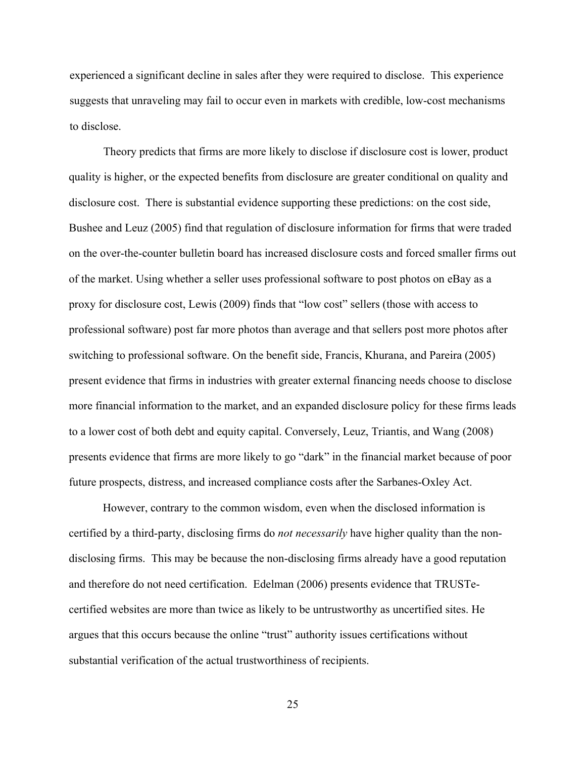experienced a significant decline in sales after they were required to disclose. This experience suggests that unraveling may fail to occur even in markets with credible, low-cost mechanisms to disclose.

Theory predicts that firms are more likely to disclose if disclosure cost is lower, product quality is higher, or the expected benefits from disclosure are greater conditional on quality and disclosure cost. There is substantial evidence supporting these predictions: on the cost side, Bushee and Leuz (2005) find that regulation of disclosure information for firms that were traded on the over-the-counter bulletin board has increased disclosure costs and forced smaller firms out of the market. Using whether a seller uses professional software to post photos on eBay as a proxy for disclosure cost, Lewis (2009) finds that "low cost" sellers (those with access to professional software) post far more photos than average and that sellers post more photos after switching to professional software. On the benefit side, Francis, Khurana, and Pareira (2005) present evidence that firms in industries with greater external financing needs choose to disclose more financial information to the market, and an expanded disclosure policy for these firms leads to a lower cost of both debt and equity capital. Conversely, Leuz, Triantis, and Wang (2008) presents evidence that firms are more likely to go "dark" in the financial market because of poor future prospects, distress, and increased compliance costs after the Sarbanes-Oxley Act.

However, contrary to the common wisdom, even when the disclosed information is certified by a third-party, disclosing firms do *not necessarily* have higher quality than the nondisclosing firms. This may be because the non-disclosing firms already have a good reputation and therefore do not need certification. Edelman (2006) presents evidence that TRUSTecertified websites are more than twice as likely to be untrustworthy as uncertified sites. He argues that this occurs because the online "trust" authority issues certifications without substantial verification of the actual trustworthiness of recipients.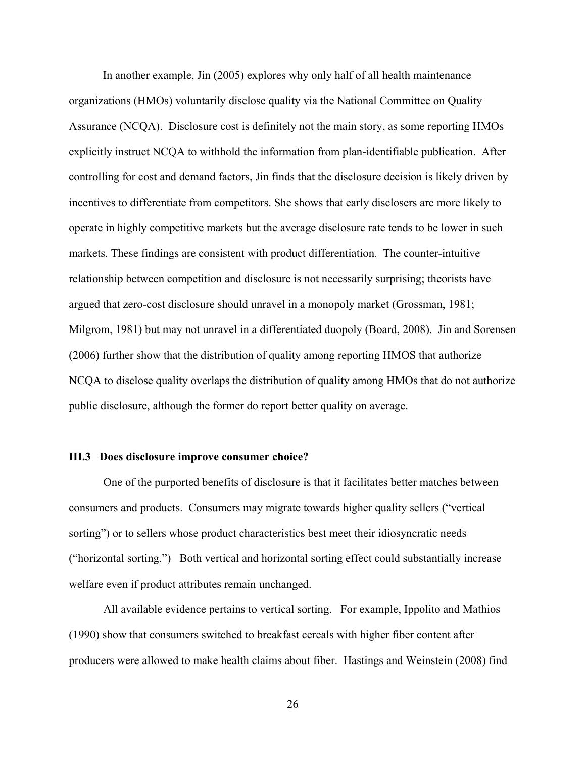In another example, Jin (2005) explores why only half of all health maintenance organizations (HMOs) voluntarily disclose quality via the National Committee on Quality Assurance (NCQA). Disclosure cost is definitely not the main story, as some reporting HMOs explicitly instruct NCQA to withhold the information from plan-identifiable publication. After controlling for cost and demand factors, Jin finds that the disclosure decision is likely driven by incentives to differentiate from competitors. She shows that early disclosers are more likely to operate in highly competitive markets but the average disclosure rate tends to be lower in such markets. These findings are consistent with product differentiation. The counter-intuitive relationship between competition and disclosure is not necessarily surprising; theorists have argued that zero-cost disclosure should unravel in a monopoly market (Grossman, 1981; Milgrom, 1981) but may not unravel in a differentiated duopoly (Board, 2008). Jin and Sorensen (2006) further show that the distribution of quality among reporting HMOS that authorize NCQA to disclose quality overlaps the distribution of quality among HMOs that do not authorize public disclosure, although the former do report better quality on average.

#### **III.3 Does disclosure improve consumer choice?**

 One of the purported benefits of disclosure is that it facilitates better matches between consumers and products. Consumers may migrate towards higher quality sellers ("vertical sorting") or to sellers whose product characteristics best meet their idiosyncratic needs ("horizontal sorting.") Both vertical and horizontal sorting effect could substantially increase welfare even if product attributes remain unchanged.

All available evidence pertains to vertical sorting. For example, Ippolito and Mathios (1990) show that consumers switched to breakfast cereals with higher fiber content after producers were allowed to make health claims about fiber. Hastings and Weinstein (2008) find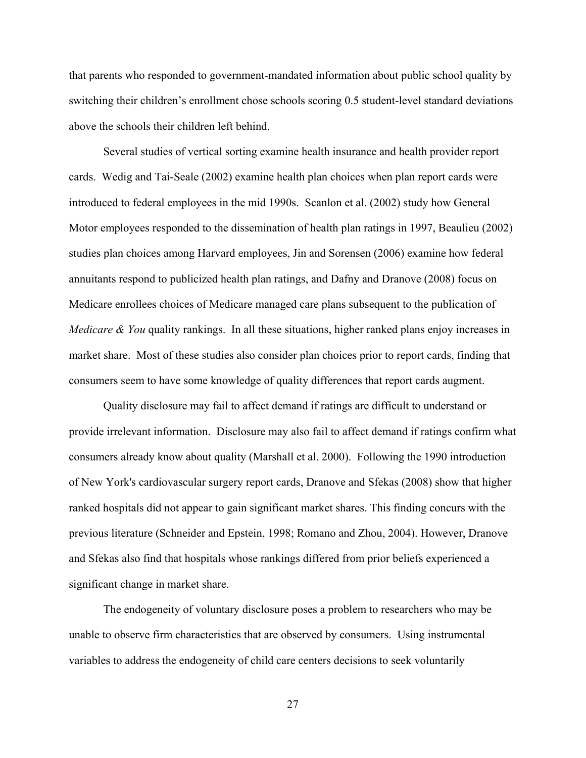that parents who responded to government-mandated information about public school quality by switching their children's enrollment chose schools scoring 0.5 student-level standard deviations above the schools their children left behind.

Several studies of vertical sorting examine health insurance and health provider report cards. Wedig and Tai-Seale (2002) examine health plan choices when plan report cards were introduced to federal employees in the mid 1990s. Scanlon et al. (2002) study how General Motor employees responded to the dissemination of health plan ratings in 1997, Beaulieu (2002) studies plan choices among Harvard employees, Jin and Sorensen (2006) examine how federal annuitants respond to publicized health plan ratings, and Dafny and Dranove (2008) focus on Medicare enrollees choices of Medicare managed care plans subsequent to the publication of *Medicare & You* quality rankings. In all these situations, higher ranked plans enjoy increases in market share. Most of these studies also consider plan choices prior to report cards, finding that consumers seem to have some knowledge of quality differences that report cards augment.

Quality disclosure may fail to affect demand if ratings are difficult to understand or provide irrelevant information. Disclosure may also fail to affect demand if ratings confirm what consumers already know about quality (Marshall et al. 2000). Following the 1990 introduction of New York's cardiovascular surgery report cards, Dranove and Sfekas (2008) show that higher ranked hospitals did not appear to gain significant market shares. This finding concurs with the previous literature (Schneider and Epstein, 1998; Romano and Zhou, 2004). However, Dranove and Sfekas also find that hospitals whose rankings differed from prior beliefs experienced a significant change in market share.

The endogeneity of voluntary disclosure poses a problem to researchers who may be unable to observe firm characteristics that are observed by consumers. Using instrumental variables to address the endogeneity of child care centers decisions to seek voluntarily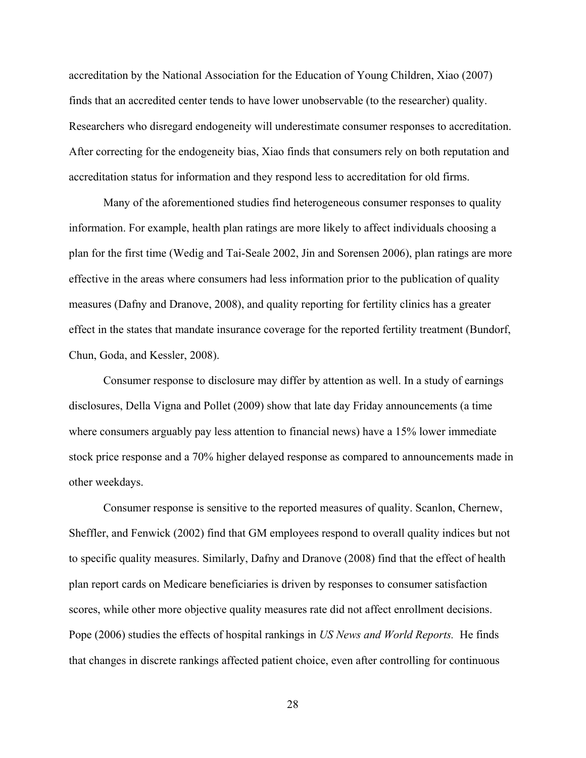accreditation by the National Association for the Education of Young Children, Xiao (2007) finds that an accredited center tends to have lower unobservable (to the researcher) quality. Researchers who disregard endogeneity will underestimate consumer responses to accreditation. After correcting for the endogeneity bias, Xiao finds that consumers rely on both reputation and accreditation status for information and they respond less to accreditation for old firms.

Many of the aforementioned studies find heterogeneous consumer responses to quality information. For example, health plan ratings are more likely to affect individuals choosing a plan for the first time (Wedig and Tai-Seale 2002, Jin and Sorensen 2006), plan ratings are more effective in the areas where consumers had less information prior to the publication of quality measures (Dafny and Dranove, 2008), and quality reporting for fertility clinics has a greater effect in the states that mandate insurance coverage for the reported fertility treatment (Bundorf, Chun, Goda, and Kessler, 2008).

Consumer response to disclosure may differ by attention as well. In a study of earnings disclosures, Della Vigna and Pollet (2009) show that late day Friday announcements (a time where consumers arguably pay less attention to financial news) have a 15% lower immediate stock price response and a 70% higher delayed response as compared to announcements made in other weekdays.

Consumer response is sensitive to the reported measures of quality. Scanlon, Chernew, Sheffler, and Fenwick (2002) find that GM employees respond to overall quality indices but not to specific quality measures. Similarly, Dafny and Dranove (2008) find that the effect of health plan report cards on Medicare beneficiaries is driven by responses to consumer satisfaction scores, while other more objective quality measures rate did not affect enrollment decisions. Pope (2006) studies the effects of hospital rankings in *US News and World Reports.* He finds that changes in discrete rankings affected patient choice, even after controlling for continuous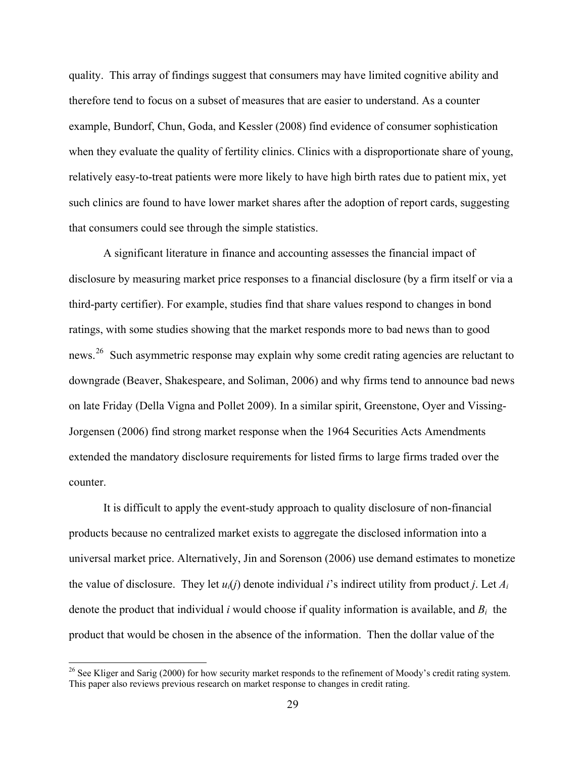quality. This array of findings suggest that consumers may have limited cognitive ability and therefore tend to focus on a subset of measures that are easier to understand. As a counter example, Bundorf, Chun, Goda, and Kessler (2008) find evidence of consumer sophistication when they evaluate the quality of fertility clinics. Clinics with a disproportionate share of young, relatively easy-to-treat patients were more likely to have high birth rates due to patient mix, yet such clinics are found to have lower market shares after the adoption of report cards, suggesting that consumers could see through the simple statistics.

A significant literature in finance and accounting assesses the financial impact of disclosure by measuring market price responses to a financial disclosure (by a firm itself or via a third-party certifier). For example, studies find that share values respond to changes in bond ratings, with some studies showing that the market responds more to bad news than to good news.<sup>[26](#page-30-0)</sup> Such asymmetric response may explain why some credit rating agencies are reluctant to downgrade (Beaver, Shakespeare, and Soliman, 2006) and why firms tend to announce bad news on late Friday (Della Vigna and Pollet 2009). In a similar spirit, Greenstone, Oyer and Vissing-Jorgensen (2006) find strong market response when the 1964 Securities Acts Amendments extended the mandatory disclosure requirements for listed firms to large firms traded over the counter.

It is difficult to apply the event-study approach to quality disclosure of non-financial products because no centralized market exists to aggregate the disclosed information into a universal market price. Alternatively, Jin and Sorenson (2006) use demand estimates to monetize the value of disclosure. They let  $u_i(j)$  denote individual *i*'s indirect utility from product *j*. Let  $A_i$ denote the product that individual *i* would choose if quality information is available, and *Bi* the product that would be chosen in the absence of the information. Then the dollar value of the

<span id="page-30-0"></span> $26$  See Kliger and Sarig (2000) for how security market responds to the refinement of Moody's credit rating system. This paper also reviews previous research on market response to changes in credit rating.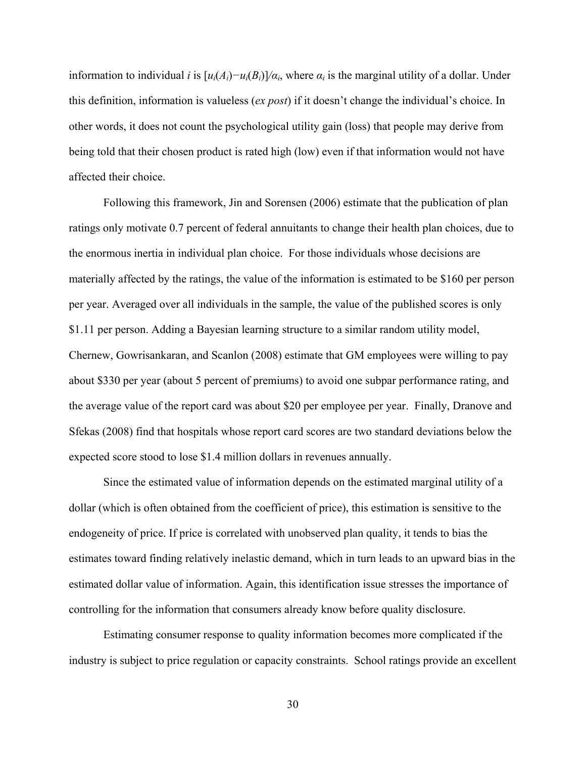information to individual *i* is  $[u_i(A_i) - u_i(B_i)]/\alpha_i$ , where  $\alpha_i$  is the marginal utility of a dollar. Under this definition, information is valueless (*ex post*) if it doesn't change the individual's choice. In other words, it does not count the psychological utility gain (loss) that people may derive from being told that their chosen product is rated high (low) even if that information would not have affected their choice.

Following this framework, Jin and Sorensen (2006) estimate that the publication of plan ratings only motivate 0.7 percent of federal annuitants to change their health plan choices, due to the enormous inertia in individual plan choice. For those individuals whose decisions are materially affected by the ratings, the value of the information is estimated to be \$160 per person per year. Averaged over all individuals in the sample, the value of the published scores is only \$1.11 per person. Adding a Bayesian learning structure to a similar random utility model, Chernew, Gowrisankaran, and Scanlon (2008) estimate that GM employees were willing to pay about \$330 per year (about 5 percent of premiums) to avoid one subpar performance rating, and the average value of the report card was about \$20 per employee per year. Finally, Dranove and Sfekas (2008) find that hospitals whose report card scores are two standard deviations below the expected score stood to lose \$1.4 million dollars in revenues annually.

Since the estimated value of information depends on the estimated marginal utility of a dollar (which is often obtained from the coefficient of price), this estimation is sensitive to the endogeneity of price. If price is correlated with unobserved plan quality, it tends to bias the estimates toward finding relatively inelastic demand, which in turn leads to an upward bias in the estimated dollar value of information. Again, this identification issue stresses the importance of controlling for the information that consumers already know before quality disclosure.

Estimating consumer response to quality information becomes more complicated if the industry is subject to price regulation or capacity constraints. School ratings provide an excellent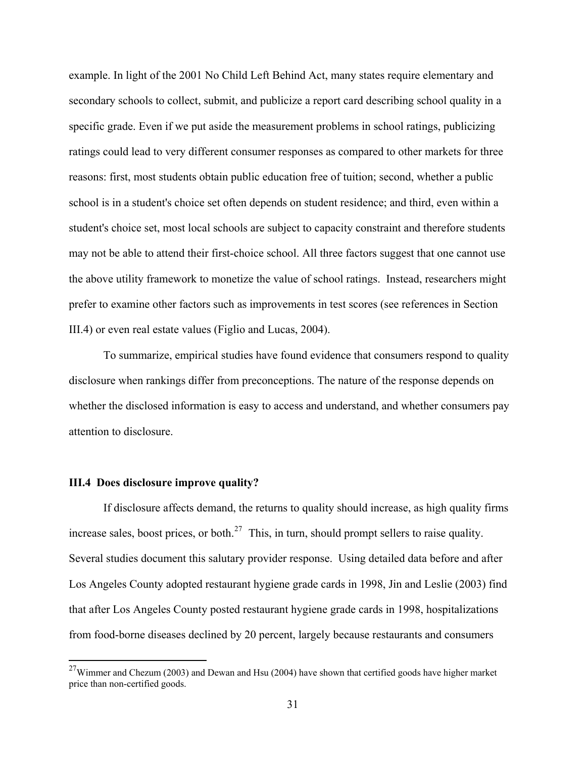example. In light of the 2001 No Child Left Behind Act, many states require elementary and secondary schools to collect, submit, and publicize a report card describing school quality in a specific grade. Even if we put aside the measurement problems in school ratings, publicizing ratings could lead to very different consumer responses as compared to other markets for three reasons: first, most students obtain public education free of tuition; second, whether a public school is in a student's choice set often depends on student residence; and third, even within a student's choice set, most local schools are subject to capacity constraint and therefore students may not be able to attend their first-choice school. All three factors suggest that one cannot use the above utility framework to monetize the value of school ratings. Instead, researchers might prefer to examine other factors such as improvements in test scores (see references in Section III.4) or even real estate values (Figlio and Lucas, 2004).

To summarize, empirical studies have found evidence that consumers respond to quality disclosure when rankings differ from preconceptions. The nature of the response depends on whether the disclosed information is easy to access and understand, and whether consumers pay attention to disclosure.

#### **III.4 Does disclosure improve quality?**

1

 If disclosure affects demand, the returns to quality should increase, as high quality firms increase sales, boost prices, or both. $27$  This, in turn, should prompt sellers to raise quality. Several studies document this salutary provider response. Using detailed data before and after Los Angeles County adopted restaurant hygiene grade cards in 1998, Jin and Leslie (2003) find that after Los Angeles County posted restaurant hygiene grade cards in 1998, hospitalizations from food-borne diseases declined by 20 percent, largely because restaurants and consumers

<span id="page-32-0"></span> $^{27}$ Wimmer and Chezum (2003) and Dewan and Hsu (2004) have shown that certified goods have higher market price than non-certified goods.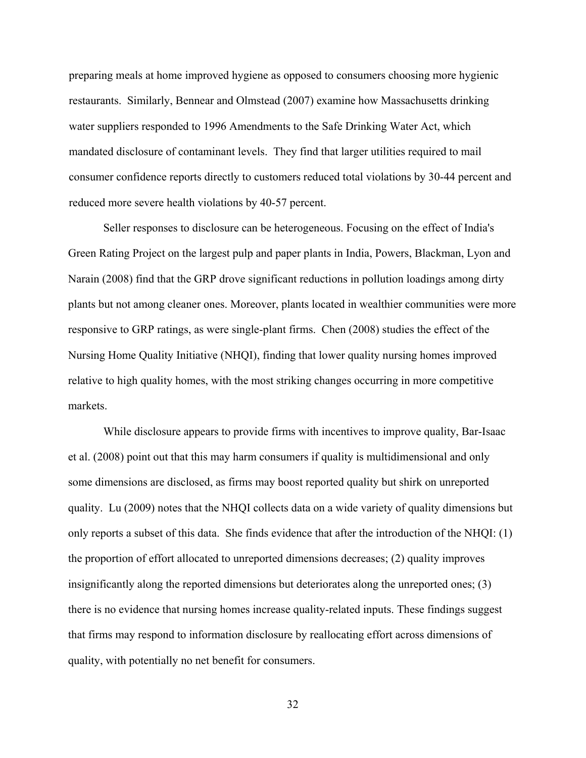preparing meals at home improved hygiene as opposed to consumers choosing more hygienic restaurants. Similarly, Bennear and Olmstead (2007) examine how Massachusetts drinking water suppliers responded to 1996 Amendments to the Safe Drinking Water Act, which mandated disclosure of contaminant levels. They find that larger utilities required to mail consumer confidence reports directly to customers reduced total violations by 30-44 percent and reduced more severe health violations by 40-57 percent.

Seller responses to disclosure can be heterogeneous. Focusing on the effect of India's Green Rating Project on the largest pulp and paper plants in India, Powers, Blackman, Lyon and Narain (2008) find that the GRP drove significant reductions in pollution loadings among dirty plants but not among cleaner ones. Moreover, plants located in wealthier communities were more responsive to GRP ratings, as were single-plant firms. Chen (2008) studies the effect of the Nursing Home Quality Initiative (NHQI), finding that lower quality nursing homes improved relative to high quality homes, with the most striking changes occurring in more competitive markets.

While disclosure appears to provide firms with incentives to improve quality, Bar-Isaac et al. (2008) point out that this may harm consumers if quality is multidimensional and only some dimensions are disclosed, as firms may boost reported quality but shirk on unreported quality. Lu (2009) notes that the NHQI collects data on a wide variety of quality dimensions but only reports a subset of this data. She finds evidence that after the introduction of the NHQI: (1) the proportion of effort allocated to unreported dimensions decreases; (2) quality improves insignificantly along the reported dimensions but deteriorates along the unreported ones; (3) there is no evidence that nursing homes increase quality-related inputs. These findings suggest that firms may respond to information disclosure by reallocating effort across dimensions of quality, with potentially no net benefit for consumers.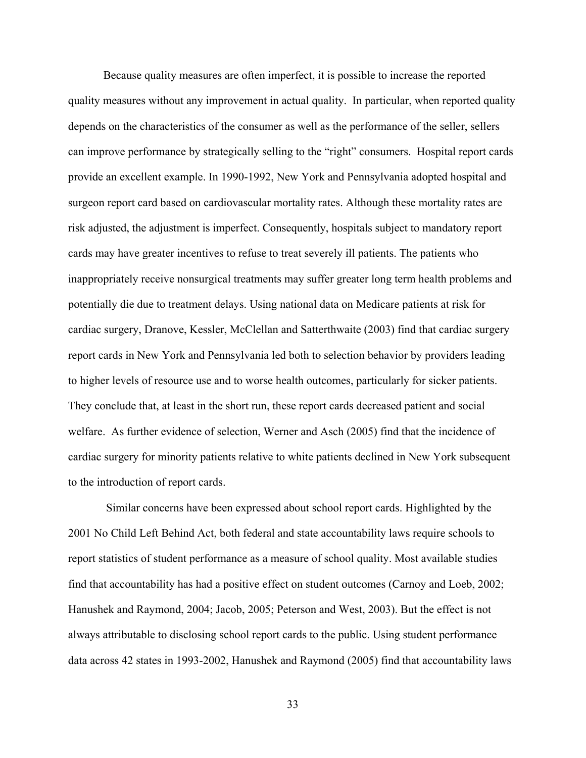Because quality measures are often imperfect, it is possible to increase the reported quality measures without any improvement in actual quality. In particular, when reported quality depends on the characteristics of the consumer as well as the performance of the seller, sellers can improve performance by strategically selling to the "right" consumers. Hospital report cards provide an excellent example. In 1990-1992, New York and Pennsylvania adopted hospital and surgeon report card based on cardiovascular mortality rates. Although these mortality rates are risk adjusted, the adjustment is imperfect. Consequently, hospitals subject to mandatory report cards may have greater incentives to refuse to treat severely ill patients. The patients who inappropriately receive nonsurgical treatments may suffer greater long term health problems and potentially die due to treatment delays. Using national data on Medicare patients at risk for cardiac surgery, Dranove, Kessler, McClellan and Satterthwaite (2003) find that cardiac surgery report cards in New York and Pennsylvania led both to selection behavior by providers leading to higher levels of resource use and to worse health outcomes, particularly for sicker patients. They conclude that, at least in the short run, these report cards decreased patient and social welfare. As further evidence of selection, Werner and Asch (2005) find that the incidence of cardiac surgery for minority patients relative to white patients declined in New York subsequent to the introduction of report cards.

 Similar concerns have been expressed about school report cards. Highlighted by the 2001 No Child Left Behind Act, both federal and state accountability laws require schools to report statistics of student performance as a measure of school quality. Most available studies find that accountability has had a positive effect on student outcomes (Carnoy and Loeb, 2002; Hanushek and Raymond, 2004; Jacob, 2005; Peterson and West, 2003). But the effect is not always attributable to disclosing school report cards to the public. Using student performance data across 42 states in 1993-2002, Hanushek and Raymond (2005) find that accountability laws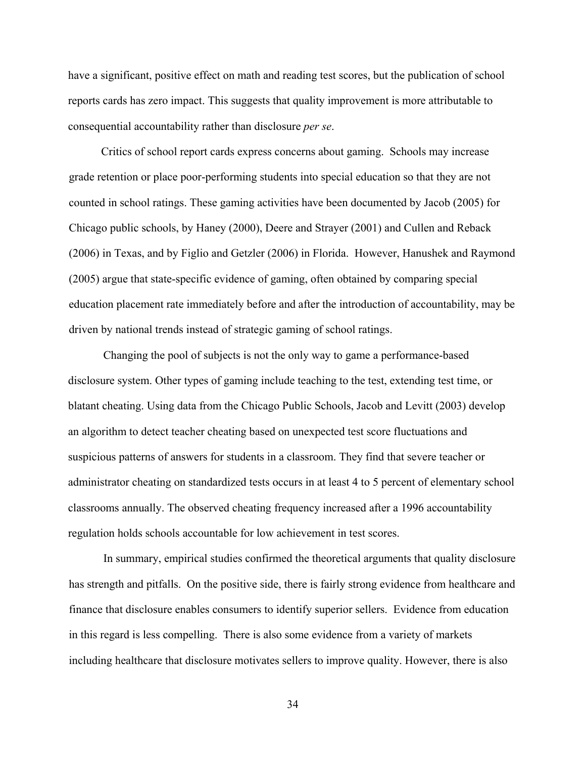have a significant, positive effect on math and reading test scores, but the publication of school reports cards has zero impact. This suggests that quality improvement is more attributable to consequential accountability rather than disclosure *per se*.

 Critics of school report cards express concerns about gaming. Schools may increase grade retention or place poor-performing students into special education so that they are not counted in school ratings. These gaming activities have been documented by Jacob (2005) for Chicago public schools, by Haney (2000), Deere and Strayer (2001) and Cullen and Reback (2006) in Texas, and by Figlio and Getzler (2006) in Florida. However, Hanushek and Raymond (2005) argue that state-specific evidence of gaming, often obtained by comparing special education placement rate immediately before and after the introduction of accountability, may be driven by national trends instead of strategic gaming of school ratings.

Changing the pool of subjects is not the only way to game a performance-based disclosure system. Other types of gaming include teaching to the test, extending test time, or blatant cheating. Using data from the Chicago Public Schools, Jacob and Levitt (2003) develop an algorithm to detect teacher cheating based on unexpected test score fluctuations and suspicious patterns of answers for students in a classroom. They find that severe teacher or administrator cheating on standardized tests occurs in at least 4 to 5 percent of elementary school classrooms annually. The observed cheating frequency increased after a 1996 accountability regulation holds schools accountable for low achievement in test scores.

 In summary, empirical studies confirmed the theoretical arguments that quality disclosure has strength and pitfalls. On the positive side, there is fairly strong evidence from healthcare and finance that disclosure enables consumers to identify superior sellers. Evidence from education in this regard is less compelling. There is also some evidence from a variety of markets including healthcare that disclosure motivates sellers to improve quality. However, there is also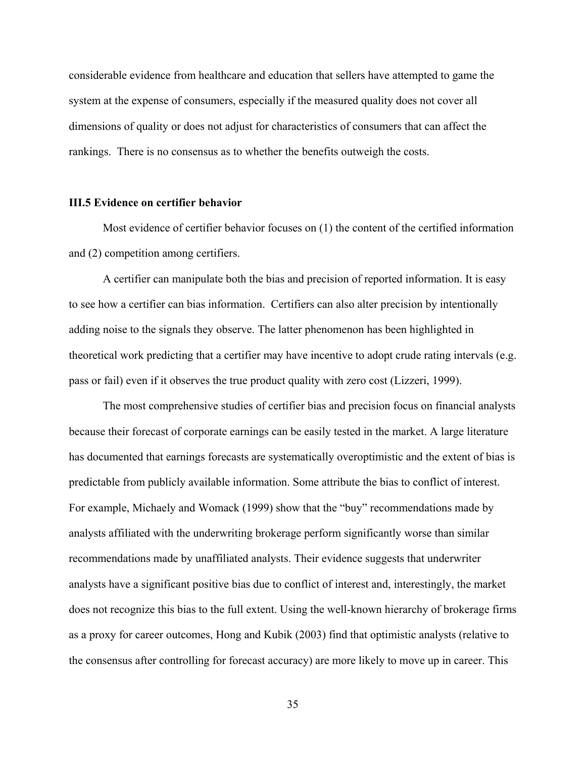considerable evidence from healthcare and education that sellers have attempted to game the system at the expense of consumers, especially if the measured quality does not cover all dimensions of quality or does not adjust for characteristics of consumers that can affect the rankings. There is no consensus as to whether the benefits outweigh the costs.

#### **III.5 Evidence on certifier behavior**

Most evidence of certifier behavior focuses on (1) the content of the certified information and (2) competition among certifiers.

A certifier can manipulate both the bias and precision of reported information. It is easy to see how a certifier can bias information. Certifiers can also alter precision by intentionally adding noise to the signals they observe. The latter phenomenon has been highlighted in theoretical work predicting that a certifier may have incentive to adopt crude rating intervals (e.g. pass or fail) even if it observes the true product quality with zero cost (Lizzeri, 1999).

The most comprehensive studies of certifier bias and precision focus on financial analysts because their forecast of corporate earnings can be easily tested in the market. A large literature has documented that earnings forecasts are systematically overoptimistic and the extent of bias is predictable from publicly available information. Some attribute the bias to conflict of interest. For example, Michaely and Womack (1999) show that the "buy" recommendations made by analysts affiliated with the underwriting brokerage perform significantly worse than similar recommendations made by unaffiliated analysts. Their evidence suggests that underwriter analysts have a significant positive bias due to conflict of interest and, interestingly, the market does not recognize this bias to the full extent. Using the well-known hierarchy of brokerage firms as a proxy for career outcomes, Hong and Kubik (2003) find that optimistic analysts (relative to the consensus after controlling for forecast accuracy) are more likely to move up in career. This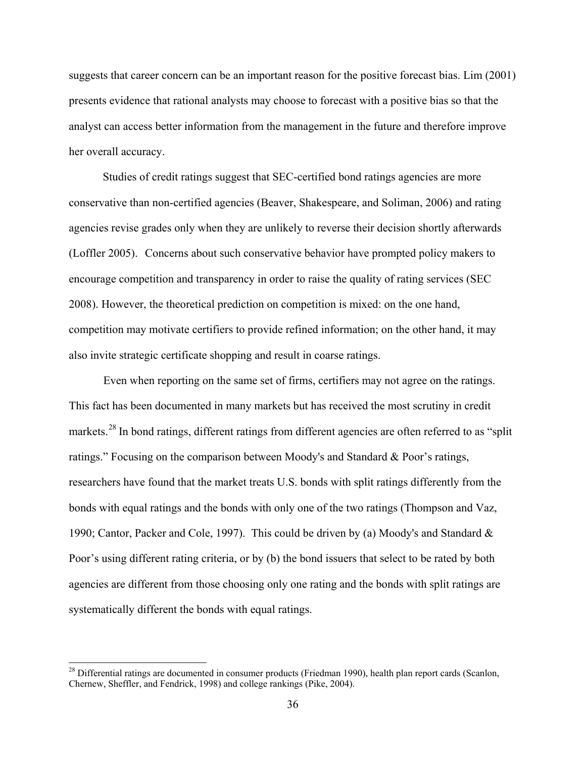suggests that career concern can be an important reason for the positive forecast bias. Lim (2001) presents evidence that rational analysts may choose to forecast with a positive bias so that the analyst can access better information from the management in the future and therefore improve her overall accuracy.

Studies of credit ratings suggest that SEC-certified bond ratings agencies are more conservative than non-certified agencies (Beaver, Shakespeare, and Soliman, 2006) and rating agencies revise grades only when they are unlikely to reverse their decision shortly afterwards (Loffler 2005). Concerns about such conservative behavior have prompted policy makers to encourage competition and transparency in order to raise the quality of rating services (SEC 2008). However, the theoretical prediction on competition is mixed: on the one hand, competition may motivate certifiers to provide refined information; on the other hand, it may also invite strategic certificate shopping and result in coarse ratings.

 Even when reporting on the same set of firms, certifiers may not agree on the ratings. This fact has been documented in many markets but has received the most scrutiny in credit markets.<sup>[28](#page-37-0)</sup> In bond ratings, different ratings from different agencies are often referred to as "split" ratings." Focusing on the comparison between Moody's and Standard & Poor's ratings, researchers have found that the market treats U.S. bonds with split ratings differently from the bonds with equal ratings and the bonds with only one of the two ratings (Thompson and Vaz, 1990; Cantor, Packer and Cole, 1997). This could be driven by (a) Moody's and Standard  $\&$ Poor's using different rating criteria, or by (b) the bond issuers that select to be rated by both agencies are different from those choosing only one rating and the bonds with split ratings are systematically different the bonds with equal ratings.

<span id="page-37-0"></span><sup>&</sup>lt;sup>28</sup> Differential ratings are documented in consumer products (Friedman 1990), health plan report cards (Scanlon, Chernew, Sheffler, and Fendrick, 1998) and college rankings (Pike, 2004).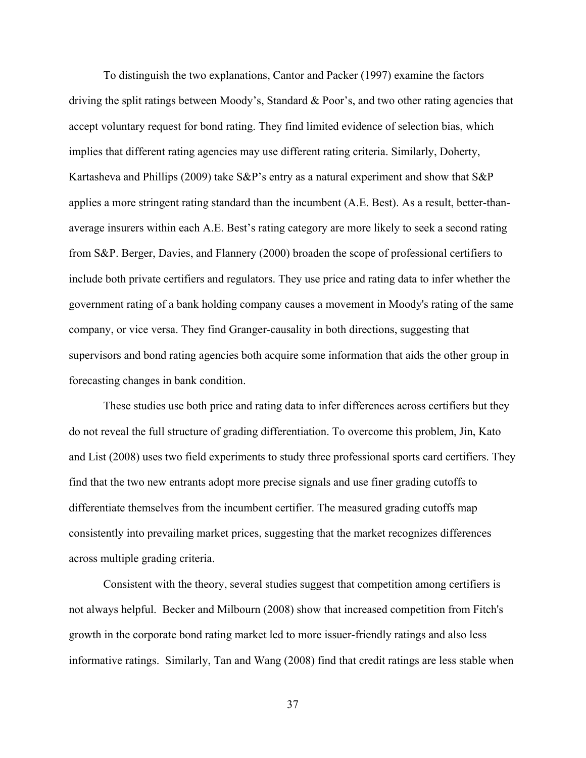To distinguish the two explanations, Cantor and Packer (1997) examine the factors driving the split ratings between Moody's, Standard & Poor's, and two other rating agencies that accept voluntary request for bond rating. They find limited evidence of selection bias, which implies that different rating agencies may use different rating criteria. Similarly, Doherty, Kartasheva and Phillips (2009) take S&P's entry as a natural experiment and show that S&P applies a more stringent rating standard than the incumbent (A.E. Best). As a result, better-thanaverage insurers within each A.E. Best's rating category are more likely to seek a second rating from S&P. Berger, Davies, and Flannery (2000) broaden the scope of professional certifiers to include both private certifiers and regulators. They use price and rating data to infer whether the government rating of a bank holding company causes a movement in Moody's rating of the same company, or vice versa. They find Granger-causality in both directions, suggesting that supervisors and bond rating agencies both acquire some information that aids the other group in forecasting changes in bank condition.

 These studies use both price and rating data to infer differences across certifiers but they do not reveal the full structure of grading differentiation. To overcome this problem, Jin, Kato and List (2008) uses two field experiments to study three professional sports card certifiers. They find that the two new entrants adopt more precise signals and use finer grading cutoffs to differentiate themselves from the incumbent certifier. The measured grading cutoffs map consistently into prevailing market prices, suggesting that the market recognizes differences across multiple grading criteria.

 Consistent with the theory, several studies suggest that competition among certifiers is not always helpful. Becker and Milbourn (2008) show that increased competition from Fitch's growth in the corporate bond rating market led to more issuer-friendly ratings and also less informative ratings. Similarly, Tan and Wang (2008) find that credit ratings are less stable when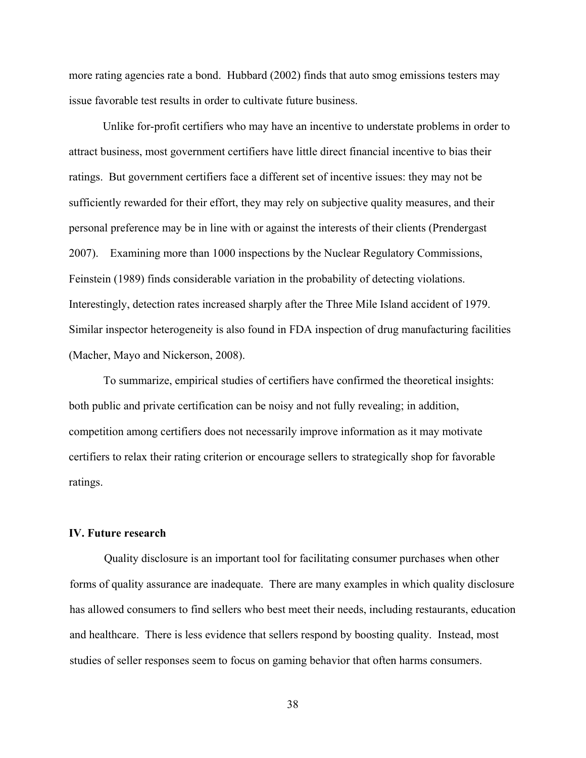more rating agencies rate a bond. Hubbard (2002) finds that auto smog emissions testers may issue favorable test results in order to cultivate future business.

Unlike for-profit certifiers who may have an incentive to understate problems in order to attract business, most government certifiers have little direct financial incentive to bias their ratings. But government certifiers face a different set of incentive issues: they may not be sufficiently rewarded for their effort, they may rely on subjective quality measures, and their personal preference may be in line with or against the interests of their clients (Prendergast 2007). Examining more than 1000 inspections by the Nuclear Regulatory Commissions, Feinstein (1989) finds considerable variation in the probability of detecting violations. Interestingly, detection rates increased sharply after the Three Mile Island accident of 1979. Similar inspector heterogeneity is also found in FDA inspection of drug manufacturing facilities (Macher, Mayo and Nickerson, 2008).

 To summarize, empirical studies of certifiers have confirmed the theoretical insights: both public and private certification can be noisy and not fully revealing; in addition, competition among certifiers does not necessarily improve information as it may motivate certifiers to relax their rating criterion or encourage sellers to strategically shop for favorable ratings.

#### **IV. Future research**

Quality disclosure is an important tool for facilitating consumer purchases when other forms of quality assurance are inadequate. There are many examples in which quality disclosure has allowed consumers to find sellers who best meet their needs, including restaurants, education and healthcare. There is less evidence that sellers respond by boosting quality. Instead, most studies of seller responses seem to focus on gaming behavior that often harms consumers.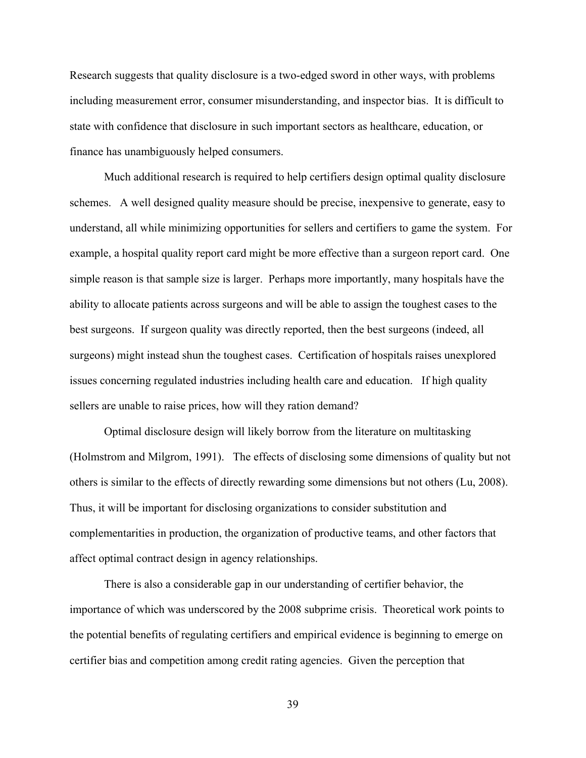Research suggests that quality disclosure is a two-edged sword in other ways, with problems including measurement error, consumer misunderstanding, and inspector bias. It is difficult to state with confidence that disclosure in such important sectors as healthcare, education, or finance has unambiguously helped consumers.

Much additional research is required to help certifiers design optimal quality disclosure schemes. A well designed quality measure should be precise, inexpensive to generate, easy to understand, all while minimizing opportunities for sellers and certifiers to game the system. For example, a hospital quality report card might be more effective than a surgeon report card. One simple reason is that sample size is larger. Perhaps more importantly, many hospitals have the ability to allocate patients across surgeons and will be able to assign the toughest cases to the best surgeons. If surgeon quality was directly reported, then the best surgeons (indeed, all surgeons) might instead shun the toughest cases. Certification of hospitals raises unexplored issues concerning regulated industries including health care and education. If high quality sellers are unable to raise prices, how will they ration demand?

Optimal disclosure design will likely borrow from the literature on multitasking (Holmstrom and Milgrom, 1991). The effects of disclosing some dimensions of quality but not others is similar to the effects of directly rewarding some dimensions but not others (Lu, 2008). Thus, it will be important for disclosing organizations to consider substitution and complementarities in production, the organization of productive teams, and other factors that affect optimal contract design in agency relationships.

There is also a considerable gap in our understanding of certifier behavior, the importance of which was underscored by the 2008 subprime crisis. Theoretical work points to the potential benefits of regulating certifiers and empirical evidence is beginning to emerge on certifier bias and competition among credit rating agencies. Given the perception that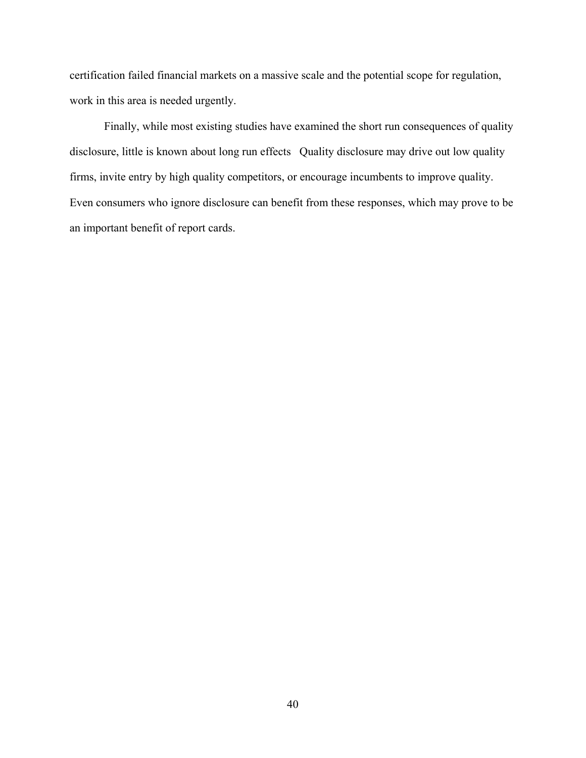certification failed financial markets on a massive scale and the potential scope for regulation, work in this area is needed urgently.

Finally, while most existing studies have examined the short run consequences of quality disclosure, little is known about long run effects Quality disclosure may drive out low quality firms, invite entry by high quality competitors, or encourage incumbents to improve quality. Even consumers who ignore disclosure can benefit from these responses, which may prove to be an important benefit of report cards.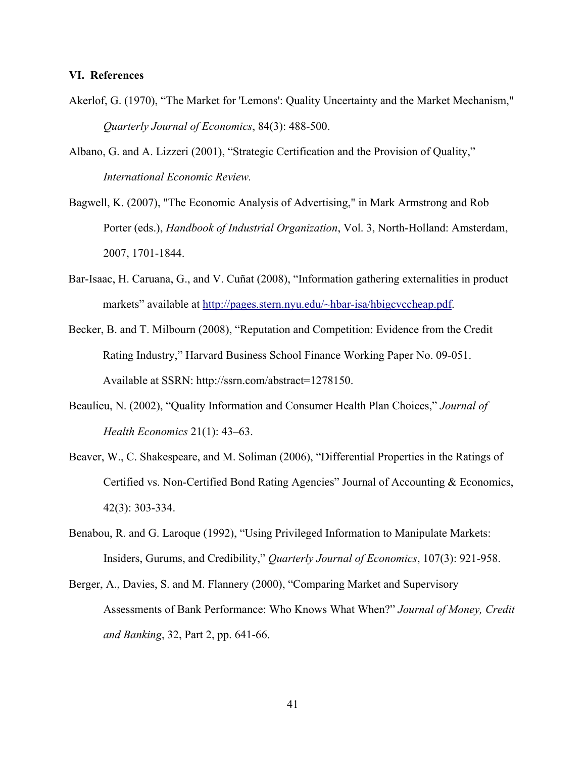#### **VI. References**

- Akerlof, G. (1970), "The Market for 'Lemons': Quality Uncertainty and the Market Mechanism," *Quarterly Journal of Economics*, 84(3): 488-500.
- Albano, G. and A. Lizzeri (2001), "Strategic Certification and the Provision of Quality," *International Economic Review.*
- Bagwell, K. (2007), "The Economic Analysis of Advertising," in Mark Armstrong and Rob Porter (eds.), *Handbook of Industrial Organization*, Vol. 3, North-Holland: Amsterdam, 2007, 1701-1844.
- Bar-Isaac, H. Caruana, G., and V. Cuñat (2008), "Information gathering externalities in product markets" available at [http://pages.stern.nyu.edu/~hbar-isa/hbigcvccheap.pdf](http://pages.stern.nyu.edu/%7Ehbar-isa/hbigcvccheap.pdf).
- Becker, B. and T. Milbourn (2008), "Reputation and Competition: Evidence from the Credit Rating Industry," Harvard Business School Finance Working Paper No. 09-051. Available at SSRN: http://ssrn.com/abstract=1278150.
- Beaulieu, N. (2002), "Quality Information and Consumer Health Plan Choices," *Journal of Health Economics* 21(1): 43–63.
- Beaver, W., C. Shakespeare, and M. Soliman (2006), "Differential Properties in the Ratings of Certified vs. Non-Certified Bond Rating Agencies" Journal of Accounting & Economics, 42(3): 303-334.
- Benabou, R. and G. Laroque (1992), "Using Privileged Information to Manipulate Markets: Insiders, Gurums, and Credibility," *Quarterly Journal of Economics*, 107(3): 921-958.
- Berger, A., Davies, S. and M. Flannery (2000), "Comparing Market and Supervisory Assessments of Bank Performance: Who Knows What When?" *Journal of Money, Credit and Banking*, 32, Part 2, pp. 641-66.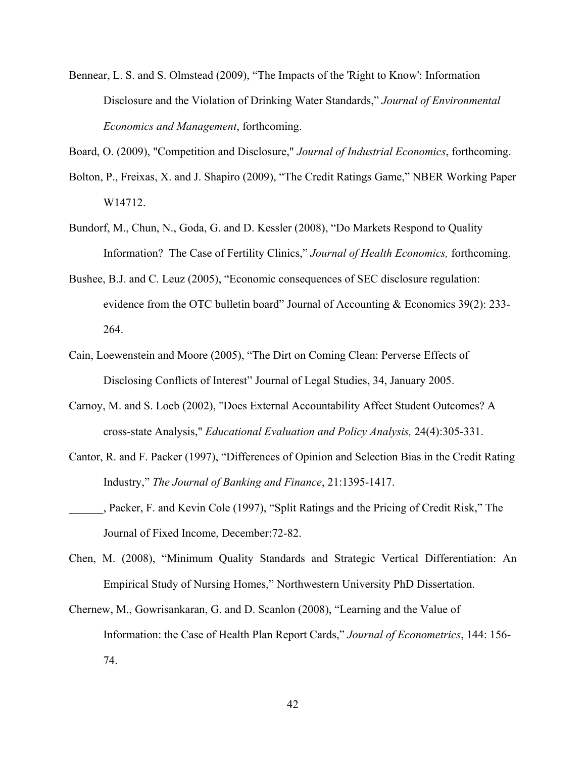Bennear, L. S. and S. Olmstead (2009), "The Impacts of the 'Right to Know': Information Disclosure and the Violation of Drinking Water Standards," *Journal of Environmental Economics and Management*, forthcoming.

Board, O. (2009), "Competition and Disclosure," *Journal of Industrial Economics*, forthcoming.

- Bolton, P., Freixas, X. and J. Shapiro (2009), "The Credit Ratings Game," NBER Working Paper W14712.
- Bundorf, M., Chun, N., Goda, G. and D. Kessler (2008), "Do Markets Respond to Quality Information? The Case of Fertility Clinics," *Journal of Health Economics,* forthcoming.
- Bushee, B.J. and C. Leuz (2005), "Economic consequences of SEC disclosure regulation: evidence from the OTC bulletin board" Journal of Accounting & Economics 39(2): 233- 264.
- Cain, Loewenstein and Moore (2005), "The Dirt on Coming Clean: Perverse Effects of Disclosing Conflicts of Interest" Journal of Legal Studies, 34, January 2005.
- Carnoy, M. and S. Loeb (2002), "Does External Accountability Affect Student Outcomes? A cross-state Analysis," *Educational Evaluation and Policy Analysis,* 24(4):305-331.
- Cantor, R. and F. Packer (1997), "Differences of Opinion and Selection Bias in the Credit Rating Industry," *The Journal of Banking and Finance*, 21:1395-1417.
- \_\_\_\_\_\_, Packer, F. and Kevin Cole (1997), "Split Ratings and the Pricing of Credit Risk," The Journal of Fixed Income, December:72-82.
- Chen, M. (2008), "Minimum Quality Standards and Strategic Vertical Differentiation: An Empirical Study of Nursing Homes," Northwestern University PhD Dissertation.
- Chernew, M., Gowrisankaran, G. and D. Scanlon (2008), "Learning and the Value of Information: the Case of Health Plan Report Cards," *Journal of Econometrics*, 144: 156- 74.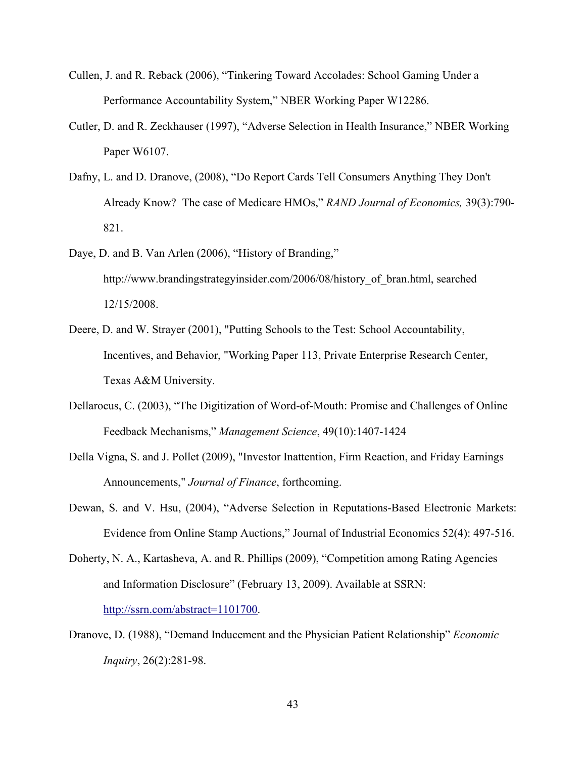- Cullen, J. and R. Reback (2006), "Tinkering Toward Accolades: School Gaming Under a Performance Accountability System," NBER Working Paper W12286.
- Cutler, D. and R. Zeckhauser (1997), "Adverse Selection in Health Insurance," NBER Working Paper W6107.
- Dafny, L. and D. Dranove, (2008), "Do Report Cards Tell Consumers Anything They Don't Already Know? The case of Medicare HMOs," *RAND Journal of Economics,* 39(3):790- 821.
- Daye, D. and B. Van Arlen (2006), "History of Branding," http://www.brandingstrategyinsider.com/2006/08/history\_of\_bran.html, searched 12/15/2008.
- Deere, D. and W. Strayer (2001), "Putting Schools to the Test: School Accountability, Incentives, and Behavior, "Working Paper 113, Private Enterprise Research Center, Texas A&M University.
- Dellarocus, C. (2003), "The Digitization of Word-of-Mouth: Promise and Challenges of Online Feedback Mechanisms," *Management Science*, 49(10):1407-1424
- Della Vigna, S. and J. Pollet (2009), "Investor Inattention, Firm Reaction, and Friday Earnings Announcements," *Journal of Finance*, forthcoming.
- Dewan, S. and V. Hsu, (2004), "Adverse Selection in Reputations-Based Electronic Markets: Evidence from Online Stamp Auctions," Journal of Industrial Economics 52(4): 497-516.
- Doherty, N. A., Kartasheva, A. and R. Phillips (2009), "Competition among Rating Agencies and Information Disclosure" (February 13, 2009). Available at SSRN: <http://ssrn.com/abstract=1101700>.
- Dranove, D. (1988), "Demand Inducement and the Physician Patient Relationship" *Economic Inquiry*, 26(2):281-98.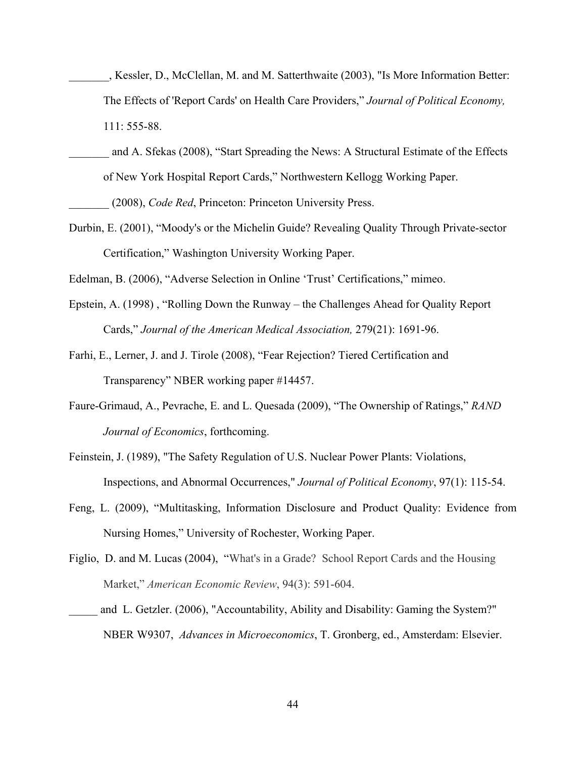- \_\_\_\_\_\_\_, Kessler, D., McClellan, M. and M. Satterthwaite (2003), "Is More Information Better: The Effects of 'Report Cards' on Health Care Providers," *Journal of Political Economy,* 111: 555-88.
- \_\_\_\_\_\_\_ and A. Sfekas (2008), "Start Spreading the News: A Structural Estimate of the Effects of New York Hospital Report Cards," Northwestern Kellogg Working Paper.

\_\_\_\_\_\_\_ (2008), *Code Red*, Princeton: Princeton University Press.

Durbin, E. (2001), "Moody's or the Michelin Guide? Revealing Quality Through Private-sector Certification," Washington University Working Paper.

Edelman, B. (2006), "Adverse Selection in Online 'Trust' Certifications," mimeo.

- Epstein, A. (1998) , "Rolling Down the Runway the Challenges Ahead for Quality Report Cards," *Journal of the American Medical Association,* 279(21): 1691-96.
- Farhi, E., Lerner, J. and J. Tirole (2008), "Fear Rejection? Tiered Certification and Transparency" NBER working paper #14457.
- Faure-Grimaud, A., Pevrache, E. and L. Quesada (2009), "The Ownership of Ratings," *RAND Journal of Economics*, forthcoming.
- Feinstein, J. (1989), "The Safety Regulation of U.S. Nuclear Power Plants: Violations, Inspections, and Abnormal Occurrences," *Journal of Political Economy*, 97(1): 115-54.
- Feng, L. (2009), "Multitasking, Information Disclosure and Product Quality: Evidence from Nursing Homes," University of Rochester, Working Paper.
- Figlio, D. and M. Lucas (2004), "What's in a Grade? School Report Cards and the Housing Market," *American Economic Review*, 94(3): 591-604.
- and L. Getzler. (2006), "Accountability, Ability and Disability: Gaming the System?" NBER W9307, *Advances in Microeconomics*, T. Gronberg, ed., Amsterdam: Elsevier.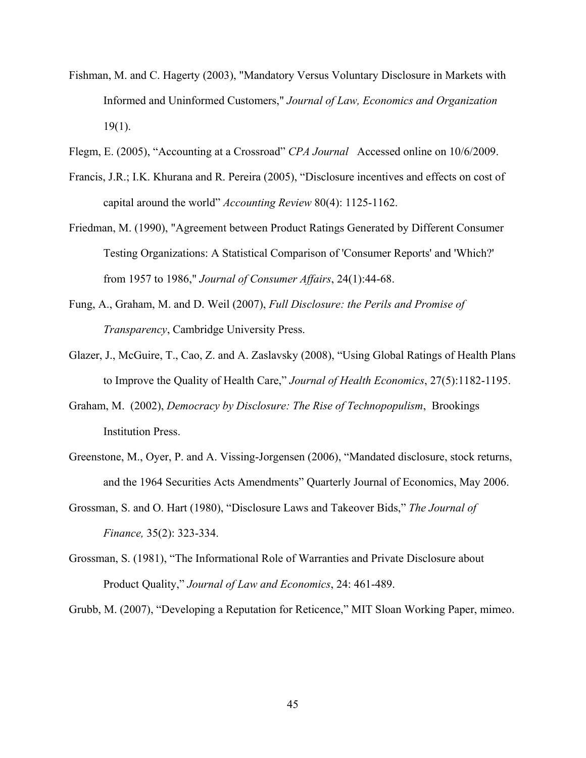- Fishman, M. and C. Hagerty (2003), "Mandatory Versus Voluntary Disclosure in Markets with Informed and Uninformed Customers," *Journal of Law, Economics and Organization* 19(1).
- Flegm, E. (2005), "Accounting at a Crossroad" *CPA Journal* Accessed online on 10/6/2009.
- Francis, J.R.; I.K. Khurana and R. Pereira (2005), "Disclosure incentives and effects on cost of capital around the world" *Accounting Review* 80(4): 1125-1162.
- Friedman, M. (1990), "Agreement between Product Ratings Generated by Different Consumer Testing Organizations: A Statistical Comparison of 'Consumer Reports' and 'Which?' from 1957 to 1986," *Journal of Consumer Affairs*, 24(1):44-68.
- Fung, A., Graham, M. and D. Weil (2007), *Full Disclosure: the Perils and Promise of Transparency*, Cambridge University Press.
- Glazer, J., McGuire, T., Cao, Z. and A. Zaslavsky (2008), "Using Global Ratings of Health Plans to Improve the Quality of Health Care," *Journal of Health Economics*, 27(5):1182-1195.
- Graham, M. (2002), *Democracy by Disclosure: The Rise of Technopopulism*, Brookings Institution Press.
- Greenstone, M., Oyer, P. and A. Vissing-Jorgensen (2006), "Mandated disclosure, stock returns, and the 1964 Securities Acts Amendments" Quarterly Journal of Economics, May 2006.
- Grossman, S. and O. Hart (1980), "Disclosure Laws and Takeover Bids," *The Journal of Finance,* 35(2): 323-334.
- Grossman, S. (1981), "The Informational Role of Warranties and Private Disclosure about Product Quality," *Journal of Law and Economics*, 24: 461-489.

Grubb, M. (2007), "Developing a Reputation for Reticence," MIT Sloan Working Paper, mimeo.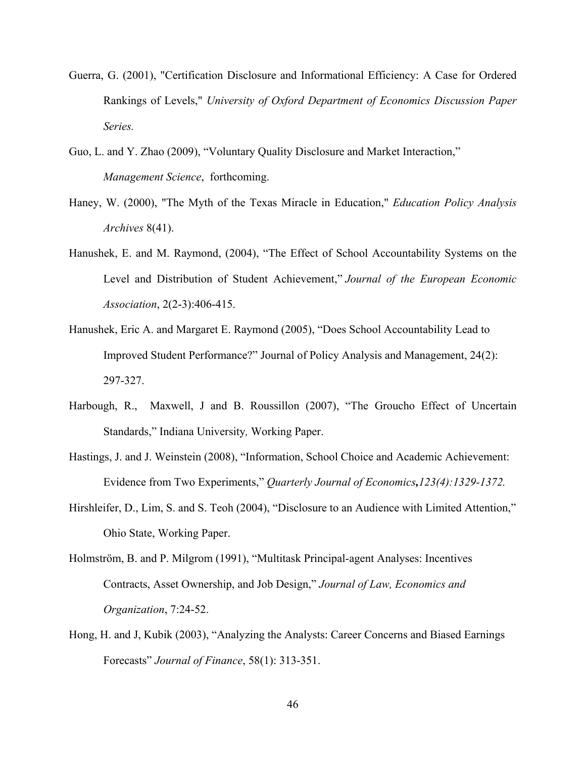- Guerra, G. (2001), "Certification Disclosure and Informational Efficiency: A Case for Ordered Rankings of Levels," *University of Oxford Department of Economics Discussion Paper Series.*
- Guo, L. and Y. Zhao (2009), "Voluntary Quality Disclosure and Market Interaction," *Management Science*, forthcoming.
- Haney, W. (2000), "The Myth of the Texas Miracle in Education," *Education Policy Analysis Archives* 8(41).
- Hanushek, E. and M. Raymond, (2004), "The Effect of School Accountability Systems on the Level and Distribution of Student Achievement," *Journal of the European Economic Association*, 2(2-3):406-415.
- Hanushek, Eric A. and Margaret E. Raymond (2005), "Does School Accountability Lead to Improved Student Performance?" Journal of Policy Analysis and Management, 24(2): 297-327.
- Harbough, R., Maxwell, J and B. Roussillon (2007), "The Groucho Effect of Uncertain Standards," Indiana University*,* Working Paper.
- Hastings, J. and J. Weinstein (2008), "Information, School Choice and Academic Achievement: Evidence from Two Experiments," *Quarterly Journal of Economics,123(4):1329-1372.*
- Hirshleifer, D., Lim, S. and S. Teoh (2004), "Disclosure to an Audience with Limited Attention," Ohio State, Working Paper.
- Holmström, B. and P. Milgrom (1991), "Multitask Principal-agent Analyses: Incentives Contracts, Asset Ownership, and Job Design," *Journal of Law, Economics and Organization*, 7:24-52.
- Hong, H. and J, Kubik (2003), "Analyzing the Analysts: Career Concerns and Biased Earnings Forecasts" *Journal of Finance*, 58(1): 313-351.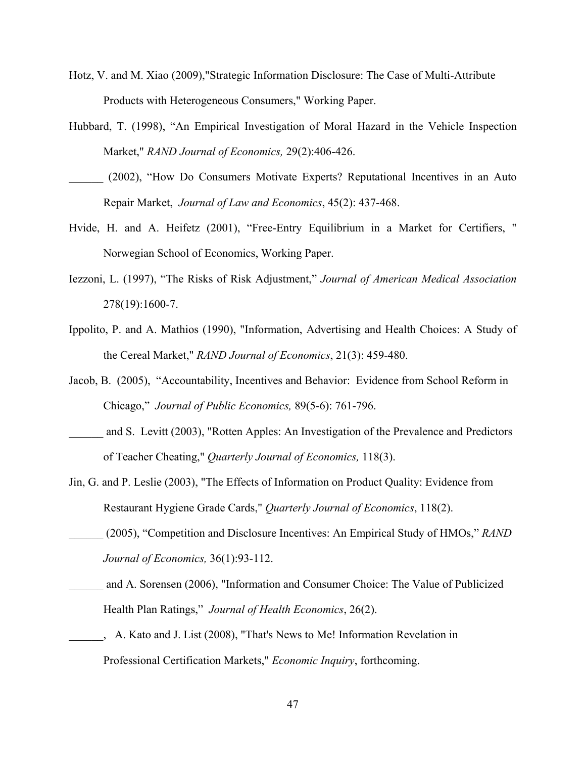- Hotz, V. and M. Xiao (2009),"Strategic Information Disclosure: The Case of Multi-Attribute Products with Heterogeneous Consumers," Working Paper.
- Hubbard, T. (1998), "An Empirical Investigation of Moral Hazard in the Vehicle Inspection Market," *RAND Journal of Economics,* 29(2):406-426.
- \_\_\_\_\_\_ (2002), "How Do Consumers Motivate Experts? Reputational Incentives in an Auto Repair Market, *Journal of Law and Economics*, 45(2): 437-468.
- Hvide, H. and A. Heifetz (2001), "Free-Entry Equilibrium in a Market for Certifiers, " Norwegian School of Economics, Working Paper.
- Iezzoni, L. (1997), "The Risks of Risk Adjustment," *Journal of American Medical Association* 278(19):1600-7.
- Ippolito, P. and A. Mathios (1990), "Information, Advertising and Health Choices: A Study of the Cereal Market," *RAND Journal of Economics*, 21(3): 459-480.
- Jacob, B. (2005), "Accountability, Incentives and Behavior: Evidence from School Reform in Chicago," *Journal of Public Economics,* 89(5-6): 761-796.
- and S. Levitt (2003), "Rotten Apples: An Investigation of the Prevalence and Predictors of Teacher Cheating," *Quarterly Journal of Economics,* 118(3).
- Jin, G. and P. Leslie (2003), "The Effects of Information on Product Quality: Evidence from Restaurant Hygiene Grade Cards," *Quarterly Journal of Economics*, 118(2).
- \_\_\_\_\_\_ (2005), "Competition and Disclosure Incentives: An Empirical Study of HMOs," *RAND Journal of Economics,* 36(1):93-112.
- and A. Sorensen (2006), "Information and Consumer Choice: The Value of Publicized Health Plan Ratings," *Journal of Health Economics*, 26(2).
- \_\_\_\_\_\_, A. Kato and J. List (2008), "That's News to Me! Information Revelation in Professional Certification Markets," *Economic Inquiry*, forthcoming.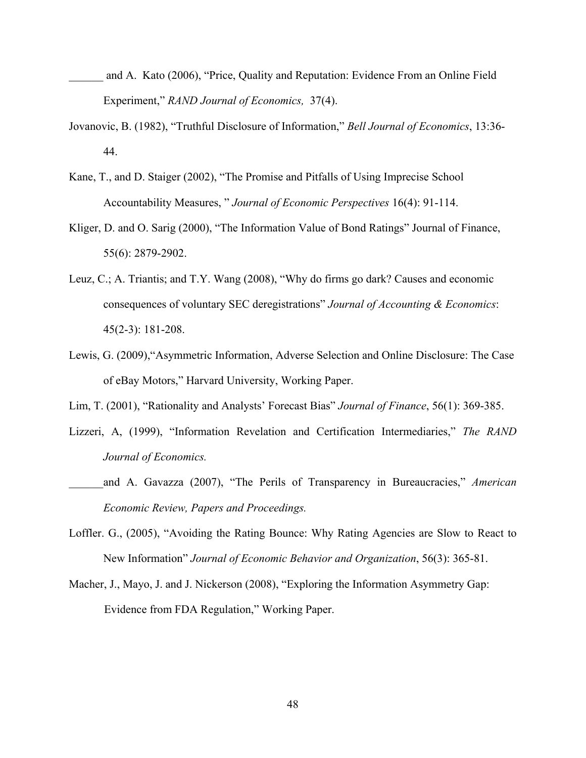- and A. Kato (2006), "Price, Quality and Reputation: Evidence From an Online Field Experiment," *RAND Journal of Economics,* 37(4).
- Jovanovic, B. (1982), "Truthful Disclosure of Information," *Bell Journal of Economics*, 13:36- 44.
- Kane, T., and D. Staiger (2002), "The Promise and Pitfalls of Using Imprecise School Accountability Measures, " *Journal of Economic Perspectives* 16(4): 91-114.
- Kliger, D. and O. Sarig (2000), "The Information Value of Bond Ratings" Journal of Finance, 55(6): 2879-2902.
- Leuz, C.; A. Triantis; and T.Y. Wang (2008), "Why do firms go dark? Causes and economic consequences of voluntary SEC deregistrations" *Journal of Accounting & Economics*: 45(2-3): 181-208.
- Lewis, G. (2009),"Asymmetric Information, Adverse Selection and Online Disclosure: The Case of eBay Motors," Harvard University, Working Paper.
- Lim, T. (2001), "Rationality and Analysts' Forecast Bias" *Journal of Finance*, 56(1): 369-385.
- Lizzeri, A, (1999), "Information Revelation and Certification Intermediaries," *The RAND Journal of Economics.*
- \_\_\_\_\_\_and A. Gavazza (2007), "The Perils of Transparency in Bureaucracies," *American Economic Review, Papers and Proceedings.*
- Loffler. G., (2005), "Avoiding the Rating Bounce: Why Rating Agencies are Slow to React to New Information" *Journal of Economic Behavior and Organization*, 56(3): 365-81.
- Macher, J., Mayo, J. and J. Nickerson (2008), "Exploring the Information Asymmetry Gap: Evidence from FDA Regulation," Working Paper.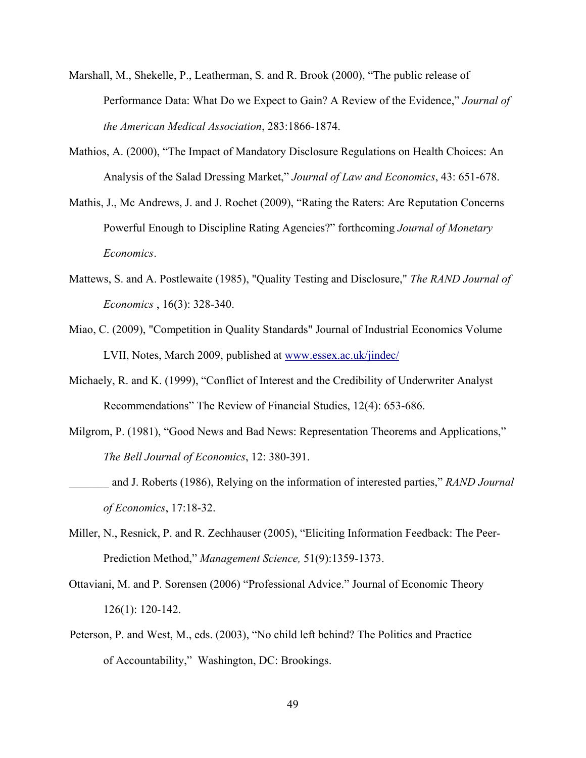- Marshall, M., Shekelle, P., Leatherman, S. and R. Brook (2000), "The public release of Performance Data: What Do we Expect to Gain? A Review of the Evidence," *Journal of the American Medical Association*, 283:1866-1874.
- Mathios, A. (2000), "The Impact of Mandatory Disclosure Regulations on Health Choices: An Analysis of the Salad Dressing Market," *Journal of Law and Economics*, 43: 651-678.
- Mathis, J., Mc Andrews, J. and J. Rochet (2009), "Rating the Raters: Are Reputation Concerns Powerful Enough to Discipline Rating Agencies?" forthcoming *Journal of Monetary Economics*.
- Mattews, S. and A. Postlewaite (1985), "Quality Testing and Disclosure," *The RAND Journal of Economics* , 16(3): 328-340.
- Miao, C. (2009), "Competition in Quality Standards" Journal of Industrial Economics Volume LVII, Notes, March 2009, published at [www.essex.ac.uk/jindec/](http://www.essex.ac.uk/jindec/)
- Michaely, R. and K. (1999), "Conflict of Interest and the Credibility of Underwriter Analyst Recommendations" The Review of Financial Studies, 12(4): 653-686.
- Milgrom, P. (1981), "Good News and Bad News: Representation Theorems and Applications," *The Bell Journal of Economics*, 12: 380-391.
- \_\_\_\_\_\_\_ and J. Roberts (1986), Relying on the information of interested parties," *RAND Journal of Economics*, 17:18-32.
- Miller, N., Resnick, P. and R. Zechhauser (2005), "Eliciting Information Feedback: The Peer-Prediction Method," *Management Science,* 51(9):1359-1373.
- Ottaviani, M. and P. Sorensen (2006) "Professional Advice." Journal of Economic Theory 126(1): 120-142.
- Peterson, P. and West, M., eds. (2003), "No child left behind? The Politics and Practice of Accountability," Washington, DC: Brookings.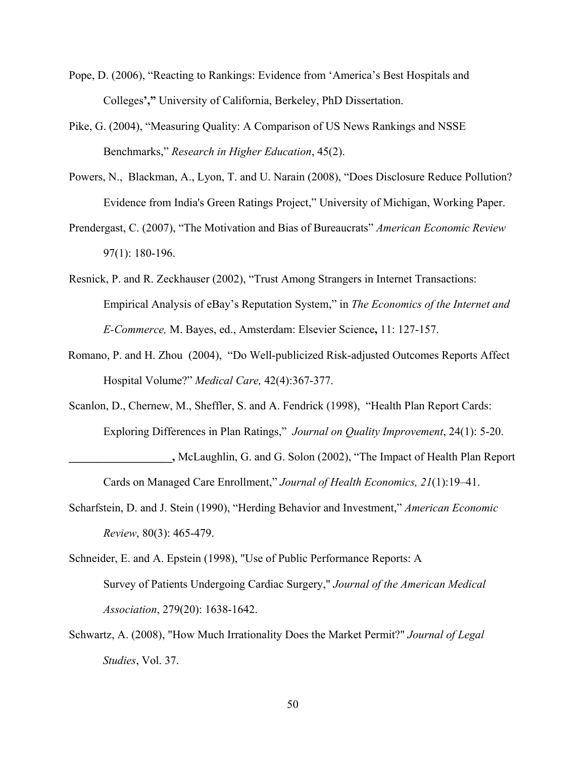- Pope, D. (2006), "Reacting to Rankings: Evidence from 'America's Best Hospitals and Colleges**',"** University of California, Berkeley, PhD Dissertation.
- Pike, G. (2004), "Measuring Quality: A Comparison of US News Rankings and NSSE Benchmarks," *Research in Higher Education*, 45(2).
- Powers, N., Blackman, A., Lyon, T. and U. Narain (2008), "Does Disclosure Reduce Pollution? Evidence from India's Green Ratings Project," University of Michigan, Working Paper.
- Prendergast, C. (2007), "The Motivation and Bias of Bureaucrats" *American Economic Review* 97(1): 180-196.
- Resnick, P. and R. Zeckhauser (2002), "Trust Among Strangers in Internet Transactions: Empirical Analysis of eBay's Reputation System," in *The Economics of the Internet and E-Commerce,* M. Bayes, ed., Amsterdam: Elsevier Science**,** 11: 127-157.
- Romano, P. and H. Zhou (2004), "Do Well-publicized Risk-adjusted Outcomes Reports Affect Hospital Volume?" *Medical Care,* 42(4):367-377.
- Scanlon, D., Chernew, M., Sheffler, S. and A. Fendrick (1998), "Health Plan Report Cards: Exploring Differences in Plan Ratings," *Journal on Quality Improvement*, 24(1): 5-20.
- **\_\_\_\_\_\_\_\_\_\_\_\_\_\_\_\_\_\_,** McLaughlin, G. and G. Solon (2002), "The Impact of Health Plan Report Cards on Managed Care Enrollment," *Journal of Health Economics, 21*(1):19–41.
- Scharfstein, D. and J. Stein (1990), "Herding Behavior and Investment," *American Economic Review*, 80(3): 465-479.
- Schneider, E. and A. Epstein (1998), "Use of Public Performance Reports: A Survey of Patients Undergoing Cardiac Surgery," *Journal of the American Medical Association*, 279(20): 1638-1642.
- Schwartz, A. (2008), "How Much Irrationality Does the Market Permit?" *Journal of Legal Studies*, Vol. 37.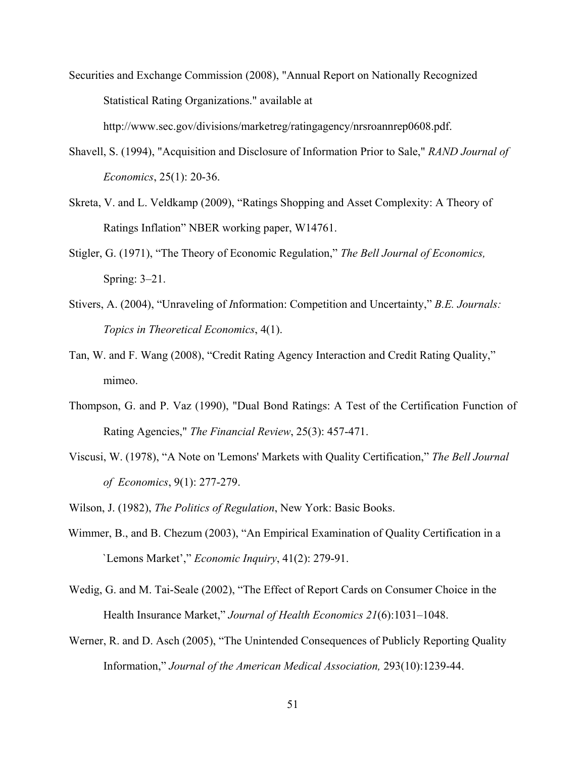Securities and Exchange Commission (2008), "Annual Report on Nationally Recognized Statistical Rating Organizations." available at

http://www.sec.gov/divisions/marketreg/ratingagency/nrsroannrep0608.pdf.

- Shavell, S. (1994), "Acquisition and Disclosure of Information Prior to Sale," *RAND Journal of Economics*, 25(1): 20-36.
- Skreta, V. and L. Veldkamp (2009), "Ratings Shopping and Asset Complexity: A Theory of Ratings Inflation" NBER working paper, W14761.
- Stigler, G. (1971), "The Theory of Economic Regulation," *The Bell Journal of Economics,*  Spring: 3–21.
- Stivers, A. (2004), "Unraveling of *I*nformation: Competition and Uncertainty," *B.E. Journals: Topics in Theoretical Economics*, 4(1).
- Tan, W. and F. Wang (2008), "Credit Rating Agency Interaction and Credit Rating Quality," mimeo.
- Thompson, G. and P. Vaz (1990), "Dual Bond Ratings: A Test of the Certification Function of Rating Agencies," *The Financial Review*, 25(3): 457-471.
- Viscusi, W. (1978), "A Note on 'Lemons' Markets with Quality Certification," *The Bell Journal of Economics*, 9(1): 277-279.
- Wilson, J. (1982), *The Politics of Regulation*, New York: Basic Books.
- Wimmer, B., and B. Chezum (2003), "An Empirical Examination of Quality Certification in a `Lemons Market'," *Economic Inquiry*, 41(2): 279-91.
- Wedig, G. and M. Tai-Seale (2002), "The Effect of Report Cards on Consumer Choice in the Health Insurance Market," *Journal of Health Economics 21*(6):1031–1048.
- Werner, R. and D. Asch (2005), "The Unintended Consequences of Publicly Reporting Quality Information," *Journal of the American Medical Association,* 293(10):1239-44.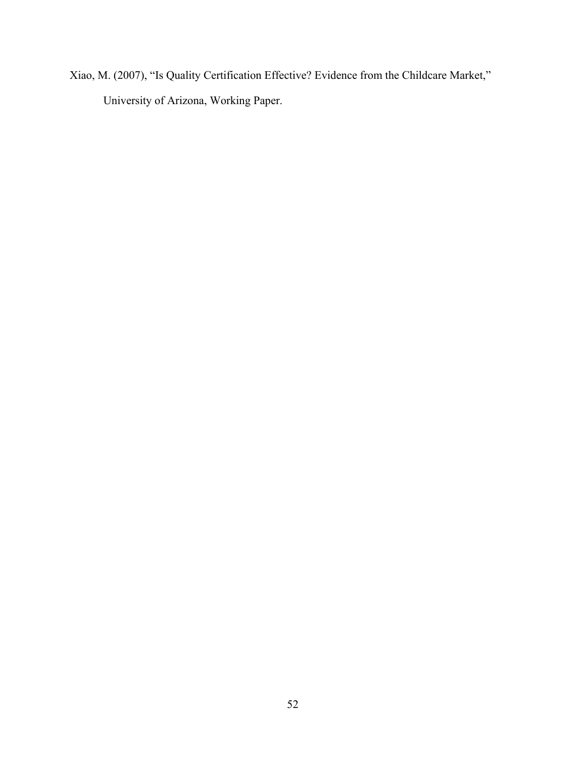Xiao, M. (2007), "Is Quality Certification Effective? Evidence from the Childcare Market," University of Arizona, Working Paper.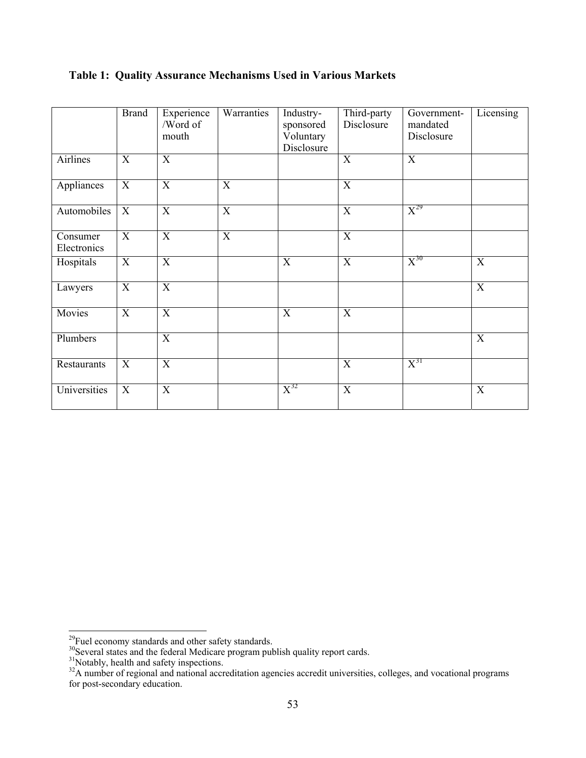|                         | <b>Brand</b>   | Experience<br>/Word of<br>mouth | Warranties                | Industry-<br>sponsored<br>Voluntary<br>Disclosure | Third-party<br>Disclosure | Government-<br>mandated<br>Disclosure | Licensing        |
|-------------------------|----------------|---------------------------------|---------------------------|---------------------------------------------------|---------------------------|---------------------------------------|------------------|
| Airlines                | $\mathbf X$    | X                               |                           |                                                   | X                         | $\mathbf X$                           |                  |
| Appliances              | X              | $\overline{X}$                  | $\boldsymbol{\mathrm{X}}$ |                                                   | X                         |                                       |                  |
| Automobiles             | X              | X                               | X                         |                                                   | X                         | $X^{29}$                              |                  |
| Consumer<br>Electronics | $\overline{X}$ | $\overline{X}$                  | $\overline{X}$            |                                                   | $\overline{X}$            |                                       |                  |
| Hospitals               | $\mathbf X$    | $\mathbf X$                     |                           | X                                                 | $\mathbf X$               | $X^{30}$                              | X                |
| Lawyers                 | X              | X                               |                           |                                                   |                           |                                       | $\boldsymbol{X}$ |
| Movies                  | $\mathbf X$    | $\mathbf X$                     |                           | $\mathbf X$                                       | $\mathbf X$               |                                       |                  |
| Plumbers                |                | $\overline{X}$                  |                           |                                                   |                           |                                       | $\mathbf X$      |
| Restaurants             | X              | $\mathbf X$                     |                           |                                                   | X                         | $X^{31}$                              |                  |
| Universities            | $\mathbf X$    | $\mathbf X$                     |                           | $X^{32}$                                          | $\mathbf X$               |                                       | $\mathbf X$      |

### **Table 1: Quality Assurance Mechanisms Used in Various Markets**

<span id="page-54-1"></span><span id="page-54-0"></span> $^{29}$ Fuel economy standards and other safety standards.

<sup>&</sup>lt;sup>30</sup>Several states and the federal Medicare program publish quality report cards.

 $31$ Notably, health and safety inspections.

<span id="page-54-3"></span><span id="page-54-2"></span> $32A$  number of regional and national accreditation agencies accredit universities, colleges, and vocational programs for post-secondary education.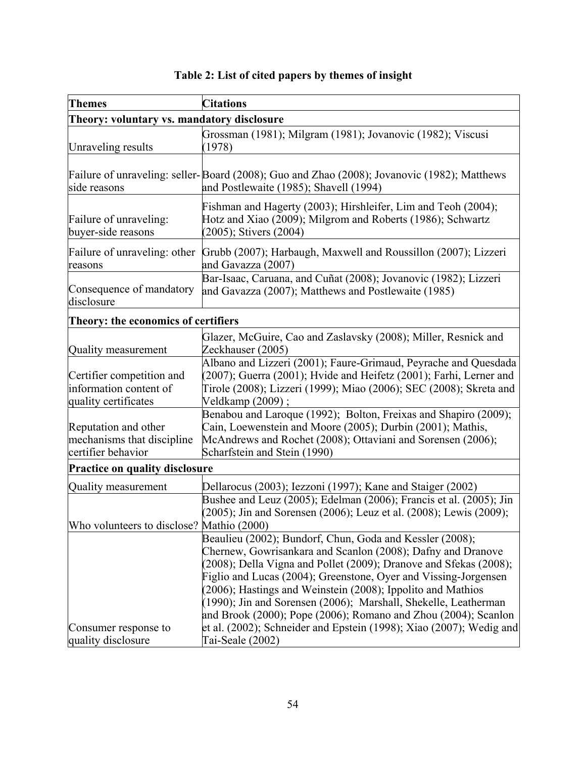| <b>Themes</b>                                                               | <b>Citations</b>                                                                                                                                                                                                                                                                                                                                                                                                                                                                                                                                    |  |  |  |  |
|-----------------------------------------------------------------------------|-----------------------------------------------------------------------------------------------------------------------------------------------------------------------------------------------------------------------------------------------------------------------------------------------------------------------------------------------------------------------------------------------------------------------------------------------------------------------------------------------------------------------------------------------------|--|--|--|--|
| Theory: voluntary vs. mandatory disclosure                                  |                                                                                                                                                                                                                                                                                                                                                                                                                                                                                                                                                     |  |  |  |  |
| Unraveling results                                                          | Grossman (1981); Milgram (1981); Jovanovic (1982); Viscusi<br>(1978)                                                                                                                                                                                                                                                                                                                                                                                                                                                                                |  |  |  |  |
| side reasons                                                                | Failure of unraveling: seller-Board (2008); Guo and Zhao (2008); Jovanovic (1982); Matthews<br>and Postlewaite (1985); Shavell (1994)                                                                                                                                                                                                                                                                                                                                                                                                               |  |  |  |  |
| Failure of unraveling:<br>buyer-side reasons                                | Fishman and Hagerty (2003); Hirshleifer, Lim and Teoh (2004);<br>Hotz and Xiao (2009); Milgrom and Roberts (1986); Schwartz<br>(2005); Stivers (2004)                                                                                                                                                                                                                                                                                                                                                                                               |  |  |  |  |
| Failure of unraveling: other<br>reasons                                     | Grubb (2007); Harbaugh, Maxwell and Roussillon (2007); Lizzeri<br>and Gavazza (2007)                                                                                                                                                                                                                                                                                                                                                                                                                                                                |  |  |  |  |
| Consequence of mandatory<br>disclosure                                      | Bar-Isaac, Caruana, and Cuñat (2008); Jovanovic (1982); Lizzeri<br>and Gavazza (2007); Matthews and Postlewaite (1985)                                                                                                                                                                                                                                                                                                                                                                                                                              |  |  |  |  |
| Theory: the economics of certifiers                                         |                                                                                                                                                                                                                                                                                                                                                                                                                                                                                                                                                     |  |  |  |  |
| Quality measurement                                                         | Glazer, McGuire, Cao and Zaslavsky (2008); Miller, Resnick and<br>Zeckhauser (2005)                                                                                                                                                                                                                                                                                                                                                                                                                                                                 |  |  |  |  |
| Certifier competition and<br>information content of<br>quality certificates | Albano and Lizzeri (2001); Faure-Grimaud, Peyrache and Quesdada<br>(2007); Guerra (2001); Hvide and Heifetz (2001); Farhi, Lerner and<br>Tirole (2008); Lizzeri (1999); Miao (2006); SEC (2008); Skreta and<br>Veldkamp (2009);                                                                                                                                                                                                                                                                                                                     |  |  |  |  |
| Reputation and other<br>mechanisms that discipline<br>certifier behavior    | Benabou and Laroque (1992); Bolton, Freixas and Shapiro (2009);<br>Cain, Loewenstein and Moore (2005); Durbin (2001); Mathis,<br>McAndrews and Rochet (2008); Ottaviani and Sorensen (2006);<br>Scharfstein and Stein (1990)                                                                                                                                                                                                                                                                                                                        |  |  |  |  |
| <b>Practice on quality disclosure</b>                                       |                                                                                                                                                                                                                                                                                                                                                                                                                                                                                                                                                     |  |  |  |  |
| Quality measurement                                                         | Dellarocus (2003); Iezzoni (1997); Kane and Staiger (2002)<br>Bushee and Leuz (2005); Edelman (2006); Francis et al. (2005); Jin<br>$(2005)$ ; Jin and Sorensen (2006); Leuz et al. (2008); Lewis (2009);                                                                                                                                                                                                                                                                                                                                           |  |  |  |  |
| Who volunteers to disclose? Mathio (2000)                                   |                                                                                                                                                                                                                                                                                                                                                                                                                                                                                                                                                     |  |  |  |  |
| Consumer response to                                                        | Beaulieu (2002); Bundorf, Chun, Goda and Kessler (2008);<br>Chernew, Gowrisankara and Scanlon (2008); Dafny and Dranove<br>$(2008)$ ; Della Vigna and Pollet $(2009)$ ; Dranove and Sfekas $(2008)$ ;<br>Figlio and Lucas (2004); Greenstone, Oyer and Vissing-Jorgensen<br>(2006); Hastings and Weinstein (2008); Ippolito and Mathios<br>(1990); Jin and Sorensen (2006); Marshall, Shekelle, Leatherman<br>and Brook (2000); Pope (2006); Romano and Zhou (2004); Scanlon<br>et al. (2002); Schneider and Epstein (1998); Xiao (2007); Wedig and |  |  |  |  |
| quality disclosure                                                          | Tai-Seale (2002)                                                                                                                                                                                                                                                                                                                                                                                                                                                                                                                                    |  |  |  |  |

### **Table 2: List of cited papers by themes of insight**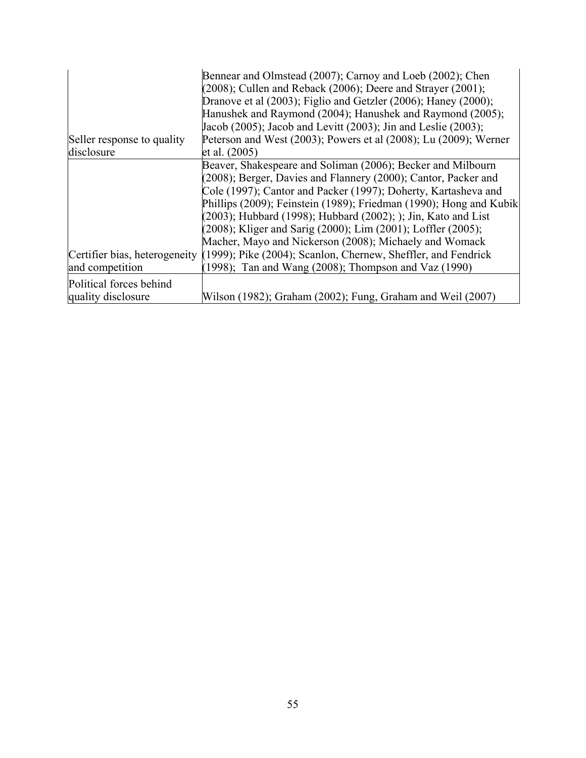|                            | Bennear and Olmstead (2007); Carnoy and Loeb (2002); Chen<br>$(2008)$ ; Cullen and Reback $(2006)$ ; Deere and Strayer $(2001)$ ; |
|----------------------------|-----------------------------------------------------------------------------------------------------------------------------------|
|                            | Dranove et al (2003); Figlio and Getzler (2006); Haney (2000);                                                                    |
|                            | Hanushek and Raymond (2004); Hanushek and Raymond (2005);                                                                         |
|                            | Jacob (2005); Jacob and Levitt (2003); Jin and Leslie (2003);                                                                     |
| Seller response to quality | Peterson and West (2003); Powers et al (2008); Lu (2009); Werner                                                                  |
| disclosure                 | et al. (2005)                                                                                                                     |
|                            | Beaver, Shakespeare and Soliman (2006); Becker and Milbourn                                                                       |
|                            | (2008); Berger, Davies and Flannery (2000); Cantor, Packer and                                                                    |
|                            | Cole (1997); Cantor and Packer (1997); Doherty, Kartasheva and                                                                    |
|                            | Phillips (2009); Feinstein (1989); Friedman (1990); Hong and Kubik                                                                |
|                            | $(2003)$ ; Hubbard (1998); Hubbard (2002); ); Jin, Kato and List                                                                  |
|                            | (2008); Kliger and Sarig (2000); Lim (2001); Loffler (2005);                                                                      |
|                            | Macher, Mayo and Nickerson (2008); Michaely and Womack                                                                            |
|                            | Certifier bias, heterogeneity (1999); Pike (2004); Scanlon, Chernew, Sheffler, and Fendrick                                       |
| and competition            | $(1998)$ ; Tan and Wang $(2008)$ ; Thompson and Vaz $(1990)$                                                                      |
| Political forces behind    |                                                                                                                                   |
| quality disclosure         | Wilson (1982); Graham (2002); Fung, Graham and Weil (2007)                                                                        |